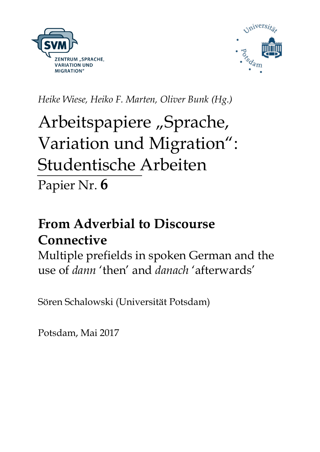



*Heike Wiese, Heiko F. Marten, Oliver Bunk (Hg.)*

# Arbeitspapiere "Sprache, Variation und Migration": Studentische Arbeiten Papier Nr. **6**

# **From Adverbial to Discourse Connective**

Multiple prefields in spoken German and the use of *dann* 'then' and *danach* 'afterwards'

Sören Schalowski (Universität Potsdam)

Potsdam, Mai 2017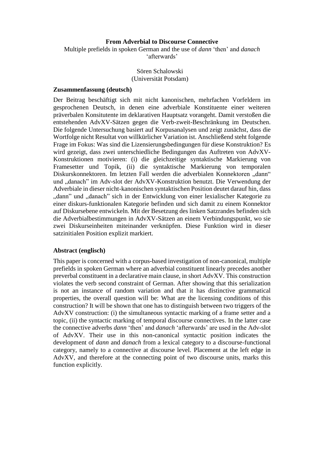#### **From Adverbial to Discourse Connective**

Multiple prefields in spoken German and the use of *dann* 'then' and *danach*  'afterwards'

> Sören Schalowski (Universität Potsdam)

#### **Zusammenfassung (deutsch)**

Der Beitrag beschäftigt sich mit nicht kanonischen, mehrfachen Vorfeldern im gesprochenen Deutsch, in denen eine adverbiale Konstituente einer weiteren präverbalen Konsitutente im deklarativen Hauptsatz vorangeht. Damit verstoßen die entstehenden AdvXV-Sätzen gegen die Verb-zweit-Beschränkung im Deutschen. Die folgende Untersuchung basiert auf Korpusanalysen und zeigt zunächst, dass die Wortfolge nicht Resultat von willkürlicher Variation ist. Anschließend steht folgende Frage im Fokus: Was sind die Lizensierungsbedingungen für diese Konstruktion? Es wird gezeigt, dass zwei unterschiedliche Bedingungen das Auftreten von AdvXV-Konstruktionen motivieren: (i) die gleichzeitige syntaktische Markierung von Framesetter und Topik, (ii) die syntaktische Markierung von temporalen Diskurskonnektoren. Im letzten Fall werden die adverbialen Konnektoren "dann" und "danach" im Adv-slot der AdvXV-Konstruktion benutzt. Die Verwendung der Adverbiale in dieser nicht-kanonischen syntaktischen Position deutet darauf hin, dass "dann" und "danach" sich in der Entwicklung von einer lexialischer Kategorie zu einer diskurs-funktionalen Kategorie befinden und sich damit zu einem Konnektor auf Diskursebene entwickeln. Mit der Besetzung des linken Satzrandes befinden sich die Adverbialbestimmungen in AdvXV-Sätzen an einem Verbindungspunkt, wo sie zwei Diskurseinheiten miteinander verknüpfen. Diese Funktion wird in dieser satzinitialen Position explizit markiert.

#### **Abstract (englisch)**

This paper is concerned with a corpus-based investigation of non-canonical, multiple prefields in spoken German where an adverbial constituent linearly precedes another preverbal constituent in a declarative main clause, in short AdvXV. This construction violates the verb second constraint of German. After showing that this serialization is not an instance of random variation and that it has distinctive grammatical properties, the overall question will be: What are the licensing conditions of this construction? It will be shown that one has to distinguish between two triggers of the AdvXV construction: (i) the simultaneous syntactic marking of a frame setter and a topic, (ii) the syntactic marking of temporal discourse connectives. In the latter case the connective adverbs *dann* 'then' and *danach* 'afterwards' are used in the Adv-slot of AdvXV. Their use in this non-canonical syntactic position indicates the development of *dann* and *danach* from a lexical category to a discourse-functional category, namely to a connective at discourse level. Placement at the left edge in AdvXV, and therefore at the connecting point of two discourse units, marks this function explicitly.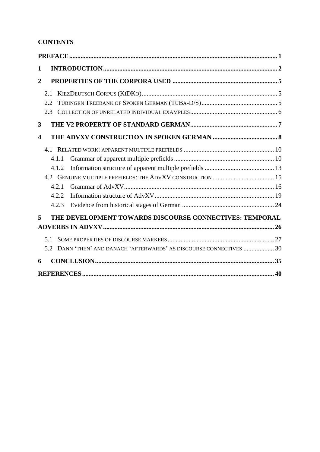# **CONTENTS**

| 2.1  |                                           |                                                                                                                                 |
|------|-------------------------------------------|---------------------------------------------------------------------------------------------------------------------------------|
| 2.2. |                                           |                                                                                                                                 |
| 2.3  |                                           |                                                                                                                                 |
|      |                                           |                                                                                                                                 |
|      |                                           |                                                                                                                                 |
|      |                                           |                                                                                                                                 |
|      |                                           |                                                                                                                                 |
|      |                                           |                                                                                                                                 |
|      |                                           |                                                                                                                                 |
|      |                                           |                                                                                                                                 |
|      |                                           |                                                                                                                                 |
|      |                                           |                                                                                                                                 |
|      |                                           |                                                                                                                                 |
|      |                                           |                                                                                                                                 |
| 5.1  |                                           |                                                                                                                                 |
|      |                                           |                                                                                                                                 |
|      |                                           |                                                                                                                                 |
|      |                                           |                                                                                                                                 |
|      | 4.1.1<br>4.1.2<br>4.2.1<br>4.2.2<br>4.2.3 | THE DEVELOPMENT TOWARDS DISCOURSE CONNECTIVES: TEMPORAL<br>5.2 DANN 'THEN' AND DANACH 'AFTERWARDS' AS DISCOURSE CONNECTIVES  30 |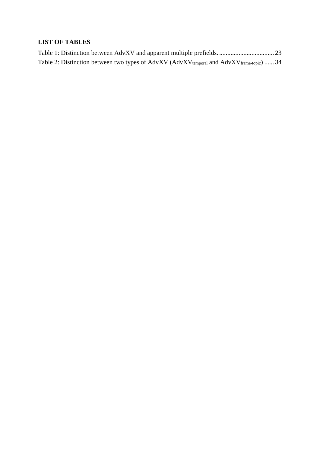# **LIST OF TABLES**

|  |  | Table 2: Distinction between two types of AdvXV (AdvXV <sub>temporal</sub> and AdvXV <sub>frame-topic</sub> )  34 |  |
|--|--|-------------------------------------------------------------------------------------------------------------------|--|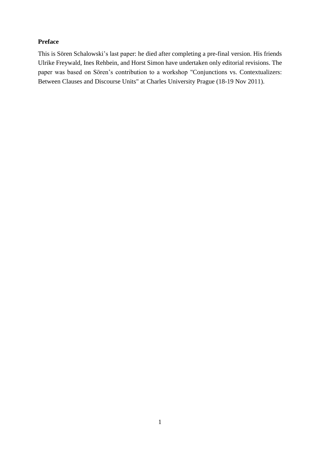# <span id="page-4-0"></span>**Preface**

This is Sören Schalowski's last paper: he died after completing a pre-final version. His friends Ulrike Freywald, Ines Rehbein, and Horst Simon have undertaken only editorial revisions. The paper was based on Sören's contribution to a workshop "Conjunctions vs. Contextualizers: Between Clauses and Discourse Units" at Charles University Prague (18-19 Nov 2011).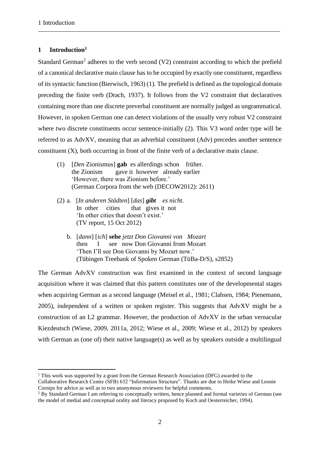1

# <span id="page-5-0"></span>**1 Introduction<sup>1</sup>**

Standard German<sup>2</sup> adheres to the verb second  $(V2)$  constraint according to which the prefield of a canonical declarative main clause has to be occupied by exactly one constituent, regardless of its syntactic function (Bierwisch, 1963) (1). The prefield is defined as the topological domain preceding the finite verb (Drach, 1937). It follows from the V2 constraint that declaratives containing more than one discrete preverbal constituent are normally judged as ungrammatical. However, in spoken German one can detect violations of the usually very robust V2 constraint where two discrete constituents occur sentence-initially (2). This V3 word order type will be referred to as AdvXV, meaning that an adverbial constituent (Adv) precedes another sentence constituent (X), both occurring in front of the finite verb of a declarative main clause.

- (1) [*Den* Zionismus] **gab** es allerdings schon früher. the Zionism gave it however already earlier 'However, there was Zionism before.' (German Corpora from the web (DECOW2012): 2611)
- (2) a*.* [*In anderen Städten*] [*das*] *gibt es nicht.* In other cities that gives it not 'In other cities that doesn't exist.' (TV report, 15 Oct 2012)
	- b. [*dann*] [*ich*] **sehe** *jetzt Don Giovanni von Mozart* then I see now Don Giovanni from Mozart 'Then I'll see Don Giovanni by Mozart now.' (Tübingen Treebank of Spoken German (TüBa-D/S), s2852)

The German AdvXV construction was first examined in the context of second language acquisition where it was claimed that this pattern constitutes one of the developmental stages when acquiring German as a second language (Meisel et al., 1981; Clahsen, 1984; Pienemann, 2005), independent of a written or spoken register. This suggests that AdvXV might be a construction of an L2 grammar. However, the production of AdvXV in the urban vernacular Kiezdeutsch (Wiese, 2009, 2011a, 2012; Wiese et al., 2009; Wiese et al., 2012) by speakers with German as (one of) their native language(s) as well as by speakers outside a multilingual

 $1$ <sup>1</sup> This work was supported by a grant from the German Research Association (DFG) awarded to the

Collaborative Research Centre (SFB) 632 "Information Structure". Thanks are due to Heike Wiese and Leonie Cornips for advice as well as to two anonymous reviewers for helpful comments.

<sup>&</sup>lt;sup>2</sup> By Standard German I am referring to conceptually written, hence planned and formal varieties of German (see the model of medial and conceptual orality and literacy proposed by Koch and Oesterreicher, 1994).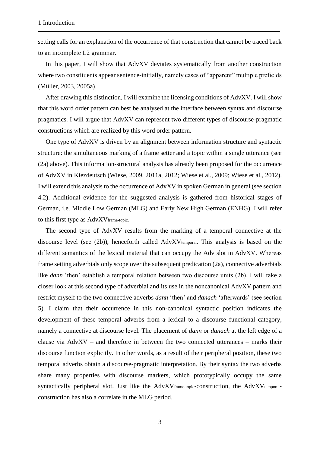setting calls for an explanation of the occurrence of that construction that cannot be traced back to an incomplete L2 grammar.

In this paper, I will show that AdvXV deviates systematically from another construction where two constituents appear sentence-initially, namely cases of "apparent" multiple prefields (Müller, 2003, 2005a).

After drawing this distinction, I will examine the licensing conditions of AdvXV. I will show that this word order pattern can best be analysed at the interface between syntax and discourse pragmatics. I will argue that AdvXV can represent two different types of discourse-pragmatic constructions which are realized by this word order pattern.

One type of AdvXV is driven by an alignment between information structure and syntactic structure: the simultaneous marking of a frame setter and a topic within a single utterance (see (2a) above). This information-structural analysis has already been proposed for the occurrence of AdvXV in Kiezdeutsch (Wiese, 2009, 2011a, 2012; Wiese et al., 2009; Wiese et al., 2012). I will extend this analysis to the occurrence of AdvXV in spoken German in general (see section 4.2). Additional evidence for the suggested analysis is gathered from historical stages of German, i.e. Middle Low German (MLG) and Early New High German (ENHG). I will refer to this first type as AdvXVframe-topic.

The second type of AdvXV results from the marking of a temporal connective at the discourse level (see (2b)), henceforth called AdvXV<sub>temporal</sub>. This analysis is based on the different semantics of the lexical material that can occupy the Adv slot in AdvXV. Whereas frame setting adverbials only scope over the subsequent predication (2a), connective adverbials like *dann* 'then' establish a temporal relation between two discourse units (2b). I will take a closer look at this second type of adverbial and its use in the noncanonical AdvXV pattern and restrict myself to the two connective adverbs *dann* 'then' and *danach* 'afterwards' (see section 5). I claim that their occurrence in this non-canonical syntactic position indicates the development of these temporal adverbs from a lexical to a discourse functional category, namely a connective at discourse level. The placement of *dann* or *danach* at the left edge of a clause via  $AdvXV - and$  therefore in between the two connected utterances – marks their discourse function explicitly. In other words, as a result of their peripheral position, these two temporal adverbs obtain a discourse-pragmatic interpretation. By their syntax the two adverbs share many properties with discourse markers, which prototypically occupy the same syntactically peripheral slot. Just like the AdvXV<sub>frame-topic</sub>-construction, the AdvXV<sub>temporal</sub>construction has also a correlate in the MLG period.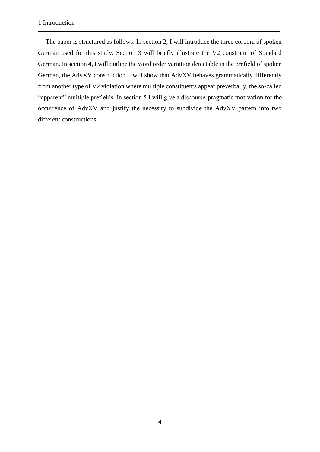The paper is structured as follows. In section 2, I will introduce the three corpora of spoken German used for this study. Section 3 will briefly illustrate the V2 constraint of Standard German. In section 4, I will outline the word order variation detectable in the prefield of spoken German, the AdvXV construction. I will show that AdvXV behaves grammatically differently from another type of V2 violation where multiple constituents appear preverbally, the so-called "apparent" multiple prefields. In section 5 I will give a discourse-pragmatic motivation for the occurrence of AdvXV and justify the necessity to subdivide the AdvXV pattern into two different constructions.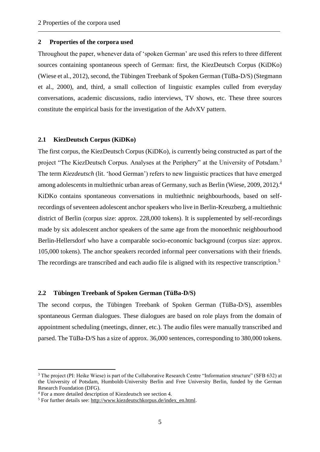#### <span id="page-8-0"></span>**2 Properties of the corpora used**

Throughout the paper, whenever data of 'spoken German' are used this refers to three different sources containing spontaneous speech of German: first, the KiezDeutsch Corpus (KiDKo) (Wiese et al., 2012), second, the Tübingen Treebank of Spoken German (TüBa-D/S) (Stegmann et al., 2000), and, third, a small collection of linguistic examples culled from everyday conversations, academic discussions, radio interviews, TV shows, etc. These three sources constitute the empirical basis for the investigation of the AdvXV pattern.

#### <span id="page-8-1"></span>**2.1 KiezDeutsch Corpus (KiDKo)**

The first corpus, the KiezDeutsch Corpus (KiDKo), is currently being constructed as part of the project "The KiezDeutsch Corpus. Analyses at the Periphery" at the University of Potsdam.<sup>3</sup> The term *Kiezdeutsch* (lit. 'hood German') refers to new linguistic practices that have emerged among adolescents in multiethnic urban areas of Germany, such as Berlin (Wiese, 2009, 2012).<sup>4</sup> KiDKo contains spontaneous conversations in multiethnic neighbourhoods, based on selfrecordings of seventeen adolescent anchor speakers who live in Berlin-Kreuzberg, a multiethnic district of Berlin (corpus size: approx. 228,000 tokens). It is supplemented by self-recordings made by six adolescent anchor speakers of the same age from the monoethnic neighbourhood Berlin-Hellersdorf who have a comparable socio-economic background (corpus size: approx. 105,000 tokens). The anchor speakers recorded informal peer conversations with their friends. The recordings are transcribed and each audio file is aligned with its respective transcription.<sup>5</sup>

#### <span id="page-8-2"></span>**2.2 Tübingen Treebank of Spoken German (TüBa-D/S)**

The second corpus, the Tübingen Treebank of Spoken German (TüBa-D/S), assembles spontaneous German dialogues. These dialogues are based on role plays from the domain of appointment scheduling (meetings, dinner, etc.). The audio files were manually transcribed and parsed. The TüBa-D/S has a size of approx. 36,000 sentences, corresponding to 380,000 tokens.

1

<sup>&</sup>lt;sup>3</sup> The project (PI: Heike Wiese) is part of the Collaborative Research Centre "Information structure" (SFB 632) at the University of Potsdam, Humboldt-University Berlin and Free University Berlin, funded by the German Research Foundation (DFG).

<sup>4</sup> For a more detailed description of Kiezdeutsch see section 4.

<sup>&</sup>lt;sup>5</sup> For further details see: [http://www.kiezdeutschkorpus.de/index\\_en.html.](http://www.kiezdeutschkorpus.de/index_en.html)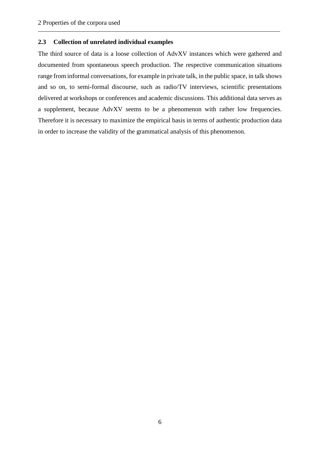#### <span id="page-9-0"></span>**2.3 Collection of unrelated individual examples**

The third source of data is a loose collection of AdvXV instances which were gathered and documented from spontaneous speech production. The respective communication situations range from informal conversations, for example in private talk, in the public space, in talk shows and so on, to semi-formal discourse, such as radio/TV interviews, scientific presentations delivered at workshops or conferences and academic discussions. This additional data serves as a supplement, because AdvXV seems to be a phenomenon with rather low frequencies. Therefore it is necessary to maximize the empirical basis in terms of authentic production data in order to increase the validity of the grammatical analysis of this phenomenon.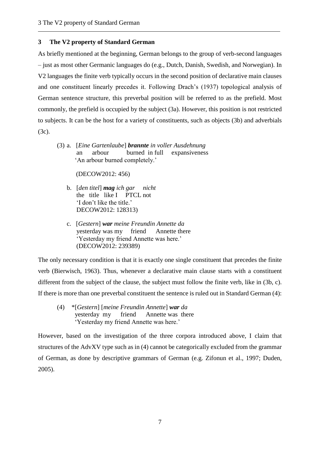# <span id="page-10-0"></span>**3 The V2 property of Standard German**

As briefly mentioned at the beginning, German belongs to the group of verb-second languages – just as most other Germanic languages do (e.g., Dutch, Danish, Swedish, and Norwegian). In V2 languages the finite verb typically occurs in the second position of declarative main clauses and one constituent linearly precedes it. Following Drach's (1937) topological analysis of German sentence structure, this preverbal position will be referred to as the prefield. Most commonly, the prefield is occupied by the subject (3a). However, this position is not restricted to subjects. It can be the host for a variety of constituents, such as objects (3b) and adverbials (3c).

(3) a. [*Eine Gartenlaube*] *brannte in voller Ausdehnung* an arbour burned in full expansiveness 'An arbour burned completely.'

(DECOW2012: 456)

- b. [*den titel*] *mag ich gar nicht* the title like I PTCL not 'I don't like the title.' DECOW2012: 128313)
- c. [*Gestern*] *war meine Freundin Annette da* yesterday was my friend Annette there 'Yesterday my friend Annette was here.' (DECOW2012: 239389)

The only necessary condition is that it is exactly one single constituent that precedes the finite verb (Bierwisch, 1963). Thus, whenever a declarative main clause starts with a constituent different from the subject of the clause, the subject must follow the finite verb, like in (3b, c). If there is more than one preverbal constituent the sentence is ruled out in Standard German (4):

(4) \*[*Gestern*] [*meine Freundin Annette*] *war da* yesterday my friend Annette was there 'Yesterday my friend Annette was here.'

However, based on the investigation of the three corpora introduced above, I claim that structures of the AdvXV type such as in (4) cannot be categorically excluded from the grammar of German, as done by descriptive grammars of German (e.g. Zifonun et al., 1997; Duden, 2005).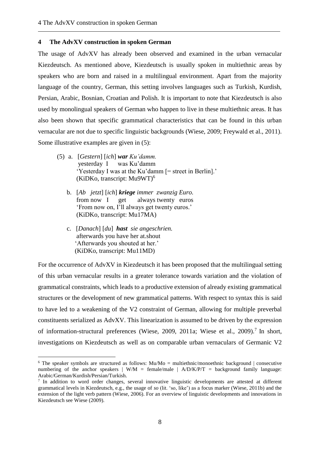#### <span id="page-11-0"></span>**4 The AdvXV construction in spoken German**

The usage of AdvXV has already been observed and examined in the urban vernacular Kiezdeutsch. As mentioned above, Kiezdeutsch is usually spoken in multiethnic areas by speakers who are born and raised in a multilingual environment. Apart from the majority language of the country, German, this setting involves languages such as Turkish, Kurdish, Persian, Arabic, Bosnian, Croatian and Polish. It is important to note that Kiezdeutsch is also used by monolingual speakers of German who happen to live in these multiethnic areas. It has also been shown that specific grammatical characteristics that can be found in this urban vernacular are not due to specific linguistic backgrounds (Wiese, 2009; Freywald et al., 2011). Some illustrative examples are given in (5):

- (5) a. [*Gestern*] [*ich*] *war Ku'damm.* yesterday I was Ku'damm 'Yesterday I was at the Ku'damm [= street in Berlin].' (KiDKo, transcript: Mu9WT)<sup>6</sup>
	- b. [*Ab jetzt*] [*ich*] *kriege immer zwanzig Euro.* from now I get always twenty euros 'From now on, I'll always get twenty euros.' (KiDKo, transcript: Mu17MA)
	- c. [*Danach*] [*du*] *hast sie angeschrien.* afterwards you have her at.shout 'Afterwards you shouted at her.' (KiDKo, transcript: Mu11MD)

<u>.</u>

For the occurrence of AdvXV in Kiezdeutsch it has been proposed that the multilingual setting of this urban vernacular results in a greater tolerance towards variation and the violation of grammatical constraints, which leads to a productive extension of already existing grammatical structures or the development of new grammatical patterns. With respect to syntax this is said to have led to a weakening of the V2 constraint of German, allowing for multiple preverbal constituents serialized as AdvXV. This linearization is assumed to be driven by the expression of information-structural preferences (Wiese, 2009, 2011a; Wiese et al., 2009).<sup>7</sup> In short, investigations on Kiezdeutsch as well as on comparable urban vernaculars of Germanic V2

<sup>&</sup>lt;sup>6</sup> The speaker symbols are structured as follows:  $Mu/Mo =$  multiethnic/monoethnic background | consecutive numbering of the anchor speakers  $| W/M =$  female/male  $| A/D/K/P/T =$  background family language: Arabic/German/Kurdish/Persian/Turkish.

<sup>&</sup>lt;sup>7</sup> In addition to word order changes, several innovative linguistic developments are attested at different grammatical levels in Kiezdeutsch, e.g., the usage of *so* (lit. 'so, like') as a focus marker (Wiese, 2011b) and the extension of the light verb pattern (Wiese, 2006). For an overview of linguistic developments and innovations in Kiezdeutsch see Wiese (2009).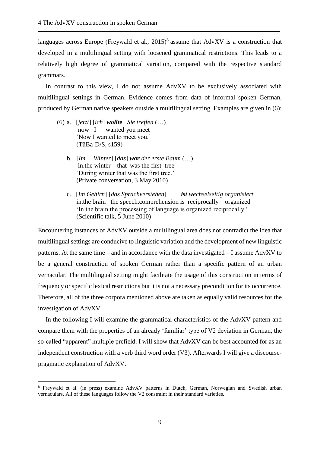languages across Europe (Freywald et al., 2015)<sup>8</sup> assume that AdvXV is a construction that developed in a multilingual setting with loosened grammatical restrictions. This leads to a relatively high degree of grammatical variation, compared with the respective standard grammars.

In contrast to this view, I do not assume AdvXV to be exclusively associated with multilingual settings in German. Evidence comes from data of informal spoken German, produced by German native speakers outside a multilingual setting. Examples are given in (6):

(6) a. [*jetzt*] [*ich*] *wollte Sie treffen* (…) now I wanted you meet 'Now I wanted to meet you.' (TüBa-D/S, s159)

1

- b. [*Im Winter*] [*das*] *war der erste Baum* (…) in.the winter that was the first tree 'During winter that was the first tree.' (Private conversation, 3 May 2010)
- c. [*Im Gehirn*] [*das Sprachverstehen*] *ist wechselseitig organisiert.* in.the brain the speech.comprehension is reciprocally organized 'In the brain the processing of language is organized reciprocally.' (Scientific talk, 5 June 2010)

Encountering instances of AdvXV outside a multilingual area does not contradict the idea that multilingual settings are conducive to linguistic variation and the development of new linguistic patterns. At the same time – and in accordance with the data investigated – I assume AdvXV to be a general construction of spoken German rather than a specific pattern of an urban vernacular. The multilingual setting might facilitate the usage of this construction in terms of frequency or specific lexical restrictions but it is not a necessary precondition for its occurrence. Therefore, all of the three corpora mentioned above are taken as equally valid resources for the investigation of AdvXV.

In the following I will examine the grammatical characteristics of the AdvXV pattern and compare them with the properties of an already 'familiar' type of V2 deviation in German, the so-called "apparent" multiple prefield. I will show that AdvXV can be best accounted for as an independent construction with a verb third word order (V3). Afterwards I will give a discoursepragmatic explanation of AdvXV.

<sup>8</sup> Freywald et al. (in press) examine AdvXV patterns in Dutch, German, Norwegian and Swedish urban vernaculars. All of these languages follow the V2 constraint in their standard varieties.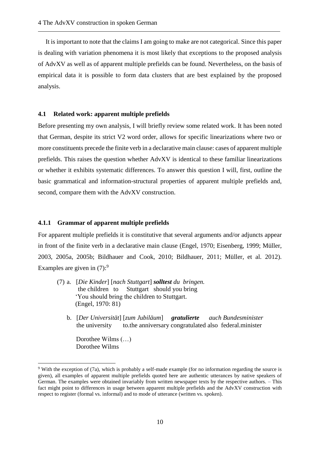It is important to note that the claims I am going to make are not categorical. Since this paper is dealing with variation phenomena it is most likely that exceptions to the proposed analysis of AdvXV as well as of apparent multiple prefields can be found. Nevertheless, on the basis of empirical data it is possible to form data clusters that are best explained by the proposed analysis.

#### <span id="page-13-0"></span>**4.1 Related work: apparent multiple prefields**

Before presenting my own analysis, I will briefly review some related work. It has been noted that German, despite its strict V2 word order, allows for specific linearizations where two or more constituents precede the finite verb in a declarative main clause: cases of apparent multiple prefields. This raises the question whether AdvXV is identical to these familiar linearizations or whether it exhibits systematic differences. To answer this question I will, first, outline the basic grammatical and information-structural properties of apparent multiple prefields and, second, compare them with the AdvXV construction.

#### <span id="page-13-1"></span>**4.1.1 Grammar of apparent multiple prefields**

For apparent multiple prefields it is constitutive that several arguments and/or adjuncts appear in front of the finite verb in a declarative main clause (Engel, 1970; Eisenberg, 1999; Müller, 2003, 2005a, 2005b; Bildhauer and Cook, 2010; Bildhauer, 2011; Müller, et al. 2012). Examples are given in  $(7)$ :<sup>9</sup>

- (7) a. [*Die Kinder*] [*nach Stuttgart*] *solltest du bringen.* the children to Stuttgart should you bring (32'You should bring the children to Stuttgart. (Engel, 1970: 81)
	- b. [*Der Universität*] [*zum Jubiläum*] *gratulierte auch Bundesminister* the university to.the anniversary congratulated also federal.minister

Dorothee Wilms (…) Dorothee Wilms

1

<sup>9</sup> With the exception of (7a), which is probably a self-made example (for no information regarding the source is given), all examples of apparent multiple prefields quoted here are authentic utterances by native speakers of German. The examples were obtained invariably from written newspaper texts by the respective authors. – This fact might point to differences in usage between apparent multiple prefields and the AdvXV construction with respect to register (formal vs. informal) and to mode of utterance (written vs. spoken).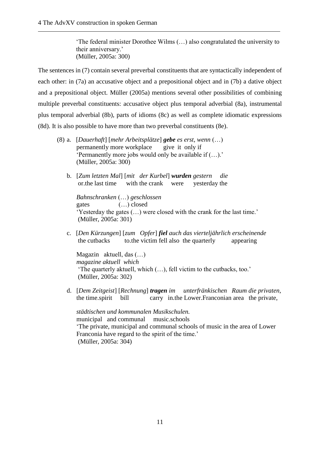'The federal minister Dorothee Wilms (…) also congratulated the university to their anniversary.' (Müller, 2005a: 300)

The sentences in (7) contain several preverbal constituents that are syntactically independent of each other: in (7a) an accusative object and a prepositional object and in (7b) a dative object and a prepositional object. Müller (2005a) mentions several other possibilities of combining multiple preverbal constituents: accusative object plus temporal adverbial (8a), instrumental plus temporal adverbial (8b), parts of idioms (8c) as well as complete idiomatic expressions (8d). It is also possible to have more than two preverbal constituents (8e).

- (8) a. [*Dauerhaft*] [*mehr Arbeitsplätze*] *gebe es erst, wenn* (…) permanently more workplace give it only if 'Permanently more jobs would only be available if (…).' (Müller, 2005a: 300)
	- b. [*Zum letzten Mal*] [*mit der Kurbel*] *wurden gestern die*  or.the last time with the crank were yesterday the

 *Bahnschranken* (…) *geschlossen* gates (…) closed 'Yesterday the gates (…) were closed with the crank for the last time.' (Müller, 2005a: 301)

c. [*Den Kürzungen*] [*zum Opfer*] *fiel auch das vierteljährlich erscheinende* the cutbacks to.the victim fell also the quarterly appearing

 Magazin aktuell, das (…)  *magazine aktuell which* 'The quarterly aktuell, which (…), fell victim to the cutbacks, too.' (Müller, 2005a: 302)

d. [*Dem Zeitgeist*] [*Rechnung*] *tragen im unterfränkischen Raum die privaten*, the time.spirit bill carry in.the Lower.Franconian area the private,

 *städtischen und kommunalen Musikschulen.* municipal and communal music.schools 'The private, municipal and communal schools of music in the area of Lower Franconia have regard to the spirit of the time.' (Müller, 2005a: 304)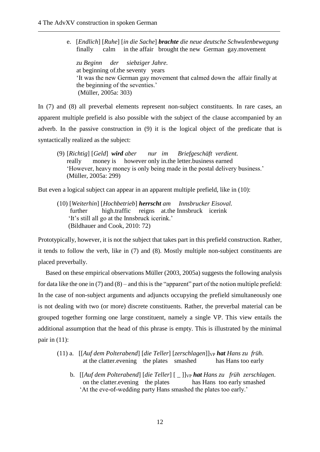e. [*Endlich*] [*Ruhe*] [*in die Sache*] *brachte die neue deutsche Schwulenbewegung* finally calm in the affair brought the new German gay.movement

 *zu Beginn der siebziger Jahre.* at beginning of.the seventy years 'It was the new German gay movement that calmed down the affair finally at the beginning of the seventies.' (Müller, 2005a: 303)

In (7) and (8) all preverbal elements represent non-subject constituents. In rare cases, an apparent multiple prefield is also possible with the subject of the clause accompanied by an adverb. In the passive construction in (9) it is the logical object of the predicate that is syntactically realized as the subject:

(9) [*Richtig*] [*Geld*] *wird aber nur im Briefgeschäft verdient.* really money is however only in.the letter.business earned 'However, heavy money is only being made in the postal delivery business.' (Müller, 2005a: 299)

But even a logical subject can appear in an apparent multiple prefield, like in (10):

(10) [*Weiterhin*] [*Hochbetrieb*] *herrscht am Innsbrucker Eisoval.* further high.traffic reigns at.the Innsbruck icerink 'It's still all go at the Innsbruck icerink.' (Bildhauer and Cook, 2010: 72)

Prototypically, however, it is not the subject that takes part in this prefield construction. Rather, it tends to follow the verb, like in (7) and (8). Mostly multiple non-subject constituents are placed preverbally.

Based on these empirical observations Müller (2003, 2005a) suggests the following analysis for data like the one in (7) and (8) – and this is the "apparent" part of the notion multiple prefield: In the case of non-subject arguments and adjuncts occupying the prefield simultaneously one is not dealing with two (or more) discrete constituents. Rather, the preverbal material can be grouped together forming one large constituent, namely a single VP. This view entails the additional assumption that the head of this phrase is empty. This is illustrated by the minimal pair in  $(11)$ :

- (11) a. [[*Auf dem Polterabend*] [*die Teller*] [*zerschlagen*]]VP *hat Hans zu früh*. at the clatter.evening the plates smashed has Hans too early
	- b. [[*Auf dem Polterabend*] [*die Teller*] [ \_ ]]<sub>VP</sub> *hat Hans zu früh zerschlagen.* on the clatter.evening the plates has Hans too early smashed 'At the eve-of-wedding party Hans smashed the plates too early.'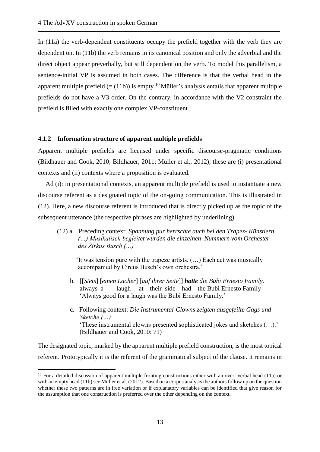In (11a) the verb-dependent constituents occupy the prefield together with the verb they are dependent on. In (11b) the verb remains in its canonical position and only the adverbial and the direct object appear preverbally, but still dependent on the verb. To model this parallelism, a sentence-initial VP is assumed in both cases. The difference is that the verbal head in the apparent multiple prefield  $(=(11b))$  is empty.<sup>10</sup> Müller's analysis entails that apparent multiple prefields do not have a V3 order. On the contrary, in accordance with the V2 constraint the prefield is filled with exactly one complex VP-constituent.

#### <span id="page-16-0"></span>**4.1.2 Information structure of apparent multiple prefields**

Apparent multiple prefields are licensed under specific discourse-pragmatic conditions (Bildhauer and Cook, 2010; Bildhauer, 2011; Müller et al., 2012); these are (i) presentational contexts and (ii) contexts where a proposition is evaluated.

Ad (i): In presentational contexts, an apparent multiple prefield is used to instantiate a new discourse referent as a designated topic of the on-going communication. This is illustrated in (12). Here, a new discourse referent is introduced that is directly picked up as the topic of the subsequent utterance (the respective phrases are highlighted by underlining).

(12) a. Preceding context: *Spannung pur herrschte auch bei den Trapez- Künstlern. (…) Musikalisch begleitet wurden die einzelnen Nummern vom Orchester des Zirkus Busch (…)*

'It was tension pure with the trapeze artists. (…) Each act was musically accompanied by Circus Busch's own orchestra.'

- b. [[*Stets*] [*einen Lacher*] [*auf ihrer Seite*]] *hatte die Bubi Ernesto Family.* always a laugh at their side had the Bubi Ernesto Family 'Always good for a laugh was the Bubi Ernesto Family.'
- c. Following context: *Die Instrumental-Clowns zeigten ausgefeilte Gags und Sketche (…)* 'These instrumental clowns presented sophisticated jokes and sketches (…).' (Bildhauer and Cook, 2010: 71)

The designated topic, marked by the apparent multiple prefield construction, is the most topical referent. Prototypically it is the referent of the grammatical subject of the clause. It remains in

1

<sup>&</sup>lt;sup>10</sup> For a detailed discussion of apparent multiple fronting constructions either with an overt verbal head (11a) or with an empty head (11b) see Müller et al. (2012). Based on a corpus analysis the authors follow up on the question whether these two patterns are in free variation or if explanatory variables can be identified that give reason for the assumption that one construction is preferred over the other depending on the context.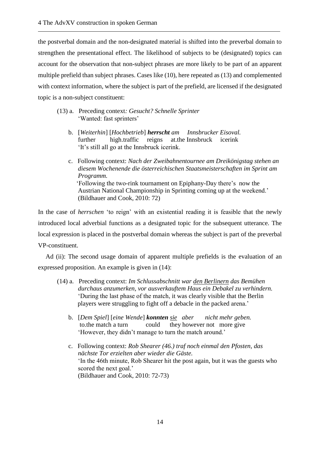the postverbal domain and the non-designated material is shifted into the preverbal domain to strengthen the presentational effect. The likelihood of subjects to be (designated) topics can account for the observation that non-subject phrases are more likely to be part of an apparent multiple prefield than subject phrases. Cases like (10), here repeated as (13) and complemented with context information, where the subject is part of the prefield, are licensed if the designated topic is a non-subject constituent:

- (13) a. Preceding context*: Gesucht? Schnelle Sprinter* 'Wanted: fast sprinters'
	- b. [*Weiterhin*] [*Hochbetrieb*] *herrscht am Innsbrucker Eisoval.* further high.traffic reigns at.the Innsbruck icerink 'It's still all go at the Innsbruck icerink.
	- c. Following context: *Nach der Zweibahnentournee am Dreikönigstag stehen an diesem Wochenende die österreichischen Staatsmeisterschaften im Sprint am Programm.* 'Following the two-rink tournament on Epiphany-Day there's now the Austrian National Championship in Sprinting coming up at the weekend.' (Bildhauer and Cook, 2010: 72)

In the case of *herrschen* 'to reign' with an existential reading it is feasible that the newly introduced local adverbial functions as a designated topic for the subsequent utterance. The local expression is placed in the postverbal domain whereas the subject is part of the preverbal VP-constituent.

Ad (ii): The second usage domain of apparent multiple prefields is the evaluation of an expressed proposition. An example is given in (14):

- (14) a. Preceding context: *Im Schlussabschnitt war den Berlinern das Bemühen durchaus anzumerken, vor ausverkauftem Haus ein Debakel zu verhindern.* 'During the last phase of the match, it was clearly visible that the Berlin players were struggling to fight off a debacle in the packed arena.'
	- b. [*Dem Spiel*] [*eine Wende*] *konnten sie aber nicht mehr geben.* to.the match a turn could they however not more give 'However, they didn't manage to turn the match around.'
	- c. Following context: *Rob Shearer (46.) traf noch einmal den Pfosten, das nächste Tor erzielten aber wieder die Gäste.* 'In the 46th minute, Rob Shearer hit the post again, but it was the guests who scored the next goal.' (Bildhauer and Cook, 2010: 72-73)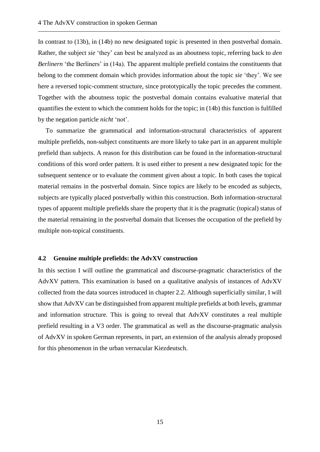In contrast to (13b), in (14b) no new designated topic is presented in then postverbal domain. Rather, the subject *sie* 'they' can best be analyzed as an aboutness topic, referring back to *den Berlinern* 'the Berliners' in (14a). The apparent multiple prefield contains the constituents that belong to the comment domain which provides information about the topic *sie* 'they'. We see here a reversed topic-comment structure, since prototypically the topic precedes the comment. Together with the aboutness topic the postverbal domain contains evaluative material that quantifies the extent to which the comment holds for the topic; in (14b) this function is fulfilled by the negation particle *nicht* 'not'.

To summarize the grammatical and information-structural characteristics of apparent multiple prefields, non-subject constituents are more likely to take part in an apparent multiple prefield than subjects. A reason for this distribution can be found in the information-structural conditions of this word order pattern. It is used either to present a new designated topic for the subsequent sentence or to evaluate the comment given about a topic. In both cases the topical material remains in the postverbal domain. Since topics are likely to be encoded as subjects, subjects are typically placed postverbally within this construction. Both information-structural types of apparent multiple prefields share the property that it is the pragmatic (topical) status of the material remaining in the postverbal domain that licenses the occupation of the prefield by multiple non-topical constituents.

#### <span id="page-18-0"></span>**4.2 Genuine multiple prefields: the AdvXV construction**

In this section I will outline the grammatical and discourse-pragmatic characteristics of the AdvXV pattern. This examination is based on a qualitative analysis of instances of AdvXV collected from the data sources introduced in chapter 2.2. Although superficially similar, I will show that AdvXV can be distinguished from apparent multiple prefields at both levels, grammar and information structure. This is going to reveal that AdvXV constitutes a real multiple prefield resulting in a V3 order. The grammatical as well as the discourse-pragmatic analysis of AdvXV in spoken German represents, in part, an extension of the analysis already proposed for this phenomenon in the urban vernacular Kiezdeutsch.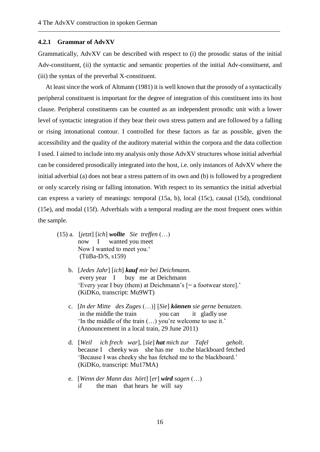#### <span id="page-19-0"></span>**4.2.1 Grammar of AdvXV**

Grammatically, AdvXV can be described with respect to (i) the prosodic status of the initial Adv-constituent, (ii) the syntactic and semantic properties of the initial Adv-constituent, and (iii) the syntax of the preverbal X-constituent.

At least since the work of Altmann (1981) it is well known that the prosody of a syntactically peripheral constituent is important for the degree of integration of this constituent into its host clause. Peripheral constituents can be counted as an independent prosodic unit with a lower level of syntactic integration if they bear their own stress pattern and are followed by a falling or rising intonational contour. I controlled for these factors as far as possible, given the accessibility and the quality of the auditory material within the corpora and the data collection I used. I aimed to include into my analysis only those AdvXV structures whose initial adverbial can be considered prosodically integrated into the host, i.e. only instances of AdvXV where the initial adverbial (a) does not bear a stress pattern of its own and (b) is followed by a progredient or only scarcely rising or falling intonation. With respect to its semantics the initial adverbial can express a variety of meanings: temporal (15a, b), local (15c), causal (15d), conditional (15e), and modal (15f). Adverbials with a temporal reading are the most frequent ones within the sample.

- (15) a. [*jetzt*] [*ich*] *wollte Sie treffen* (…) now I wanted you meet Now I wanted to meet you.' (TüBa-D/S, s159)
	- b. [*Jedes Jahr*] [*ich*] *kauf mir bei Deichmann*. every year I buy me at Deichmann 'Every year I buy (them) at Deichmann's [= a footwear store].' (KiDKo, transcript: Mu9WT)
	- c. [*In der Mitte des Zuges* (…)] [*Sie*] *können sie gerne benutzen*. in the middle the train you can it gladly use 'In the middle of the train (…) you're welcome to use it.' (Announcement in a local train, 29 June 2011)
	- d. [*Weil ich frech war*], [*sie*] *hat mich zur Tafel geholt*. because I cheeky was she has me to.the blackboard fetched 'Because I was cheeky she has fetched me to the blackboard.' (KiDKo, transcript: Mu17MA)
	- e. [*Wenn der Mann das hört*] [*er*] *wird sagen* (…) if the man that hears he will say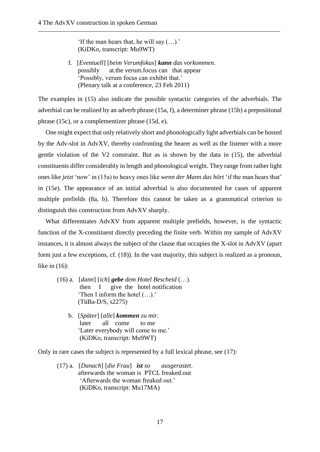'If the man hears that, he will say (…).' (KiDKo, transcript: Mu9WT)

 f. [*Eventuell*] [*beim Verumfokus*] *kann das vorkommen.* possibly at.the verum.focus can that appear 'Possibly, verum focus can exhibit that.' (Plenary talk at a conference, 23 Feb 2011)

The examples in (15) also indicate the possible syntactic categories of the adverbials. The adverbial can be realized by an adverb phrase (15a, f), a determiner phrase (15b) a prepositional phrase (15c), or a complementizer phrase (15d, e).

One might expect that only relatively short and phonologically light adverbials can be hosted by the Adv-slot in AdvXV, thereby confronting the hearer as well as the listener with a more gentle violation of the V2 constraint. But as is shown by the data in (15), the adverbial constituents differ considerably in length and phonological weight. They range from rather light ones like *jetzt* 'now' in (15a) to heavy ones like *wenn der Mann das hört* 'if the man hears that' in (15e). The appearance of an initial adverbial is also documented for cases of apparent multiple prefields (8a, b). Therefore this cannot be taken as a grammatical criterion to distinguish this construction from AdvXV sharply.

What differentiates AdvXV from apparent multiple prefields, however, is the syntactic function of the X-constituent directly preceding the finite verb. Within my sample of AdvXV instances, it is almost always the subject of the clause that occupies the X-slot in AdvXV (apart form just a few exceptions, cf. (18)). In the vast majority, this subject is realized as a pronoun, like in (16):

- (16) a. [*dann*] [*ich*] *gebe dem Hotel Bescheid* (…). then I give the hotel notification 'Then I inform the hotel (…).' (TüBa-D/S, s2275)
	- b. [*Später*] [*alle*] *kommen zu mir*. later all come to me 'Later everybody will come to me.' (KiDKo, transcript: Mu9WT)

Only in rare cases the subject is represented by a full lexical phrase, see (17):

(17) a. [*Danach*] [*die Frau*] *ist so ausgerastet*. afterwards the woman is PTCL freaked.out 'Afterwards the woman freaked out.' (KiDKo, transcript: Mu17MA)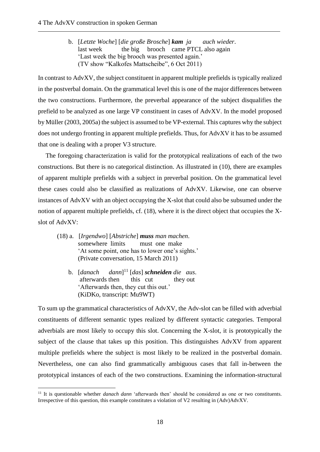b. [*Letzte Woche*] [*die große Brosche*] *kam ja auch wieder*. last week the big brooch came PTCL also again 'Last week the big brooch was presented again.' (TV show "Kalkofes Mattscheibe", 6 Oct 2011)

In contrast to AdvXV, the subject constituent in apparent multiple prefields is typically realized in the postverbal domain. On the grammatical level this is one of the major differences between the two constructions. Furthermore, the preverbal appearance of the subject disqualifies the prefield to be analyzed as one large VP constituent in cases of AdvXV. In the model proposed by Müller (2003, 2005a) the subject is assumed to be VP-external. This captures why the subject does not undergo fronting in apparent multiple prefields. Thus, for AdvXV it has to be assumed that one is dealing with a proper V3 structure.

The foregoing characterization is valid for the prototypical realizations of each of the two constructions. But there is no categorical distinction. As illustrated in (10), there are examples of apparent multiple prefields with a subject in preverbal position. On the grammatical level these cases could also be classified as realizations of AdvXV. Likewise, one can observe instances of AdvXV with an object occupying the X-slot that could also be subsumed under the notion of apparent multiple prefields, cf. (18), where it is the direct object that occupies the Xslot of AdvXV:

- (18) a. [*Irgendwo*] [*Abstriche*] *muss man machen*. somewhere limits must one make 'At some point, one has to lower one's sights.' (Private conversation, 15 March 2011)
	- b. *Idanach*  $dann$ <sup>11</sup>  $[das]$ *schneiden die aus.* afterwards then this cut they out 'Afterwards then, they cut this out.' (KiDKo, transcript: Mu9WT)

1

To sum up the grammatical characteristics of AdvXV, the Adv-slot can be filled with adverbial constituents of different semantic types realized by different syntactic categories. Temporal adverbials are most likely to occupy this slot. Concerning the X-slot, it is prototypically the subject of the clause that takes up this position. This distinguishes AdvXV from apparent multiple prefields where the subject is most likely to be realized in the postverbal domain. Nevertheless, one can also find grammatically ambiguous cases that fall in-between the prototypical instances of each of the two constructions. Examining the information-structural

<sup>&</sup>lt;sup>11</sup> It is questionable whether *danach dann* 'afterwards then' should be considered as one or two constituents. Irrespective of this question, this example constitutes a violation of V2 resulting in (Adv)AdvXV.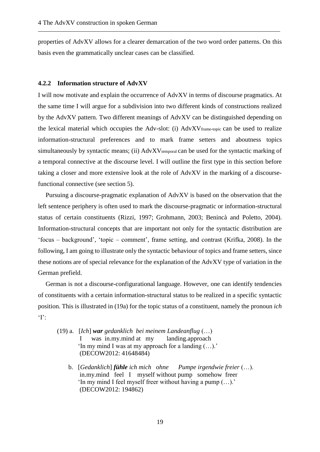properties of AdvXV allows for a clearer demarcation of the two word order patterns. On this basis even the grammatically unclear cases can be classified.

#### <span id="page-22-0"></span>**4.2.2 Information structure of AdvXV**

I will now motivate and explain the occurrence of AdvXV in terms of discourse pragmatics. At the same time I will argue for a subdivision into two different kinds of constructions realized by the AdvXV pattern. Two different meanings of AdvXV can be distinguished depending on the lexical material which occupies the Adv-slot: (i) AdvXVframe-topic can be used to realize information-structural preferences and to mark frame setters and aboutness topics simultaneously by syntactic means; (ii) AdvXV<sub>temporal</sub> can be used for the syntactic marking of a temporal connective at the discourse level. I will outline the first type in this section before taking a closer and more extensive look at the role of AdvXV in the marking of a discoursefunctional connective (see section 5).

Pursuing a discourse-pragmatic explanation of AdvXV is based on the observation that the left sentence periphery is often used to mark the discourse-pragmatic or information-structural status of certain constituents (Rizzi, 1997; Grohmann, 2003; Benincà and Poletto, 2004). Information-structural concepts that are important not only for the syntactic distribution are 'focus – background', 'topic – comment', frame setting, and contrast (Krifka, 2008). In the following, I am going to illustrate only the syntactic behaviour of topics and frame setters, since these notions are of special relevance for the explanation of the AdvXV type of variation in the German prefield.

German is not a discourse-configurational language. However, one can identify tendencies of constituents with a certain information-structural status to be realized in a specific syntactic position. This is illustrated in (19a) for the topic status of a constituent, namely the pronoun *ich*   $\cdot$   $\cdot$ 

- (19) a. [*Ich*] *war gedanklich bei meinem Landeanflug* (…) I was in.my.mind at my landing.approach 'In my mind I was at my approach for a landing (…).' (DECOW2012: 41648484)
	- b. [*Gedanklich*] *fühle ich mich ohne Pumpe irgendwie freier* (…). in.my.mind feel I myself without pump somehow freer 'In my mind I feel myself freer without having a pump (…).' (DECOW2012: 194862)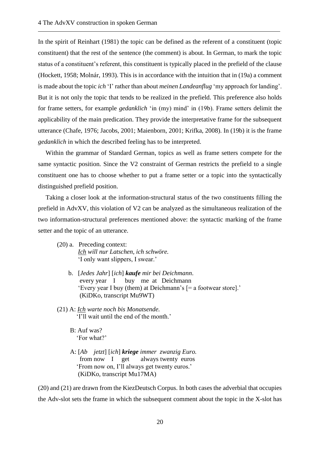In the spirit of Reinhart (1981) the topic can be defined as the referent of a constituent (topic constituent) that the rest of the sentence (the comment) is about. In German, to mark the topic status of a constituent's referent, this constituent is typically placed in the prefield of the clause (Hockett, 1958; Molnár, 1993). This is in accordance with the intuition that in (19a) a comment is made about the topic *ich* 'I' rather than about *meinen Landeanflug* 'my approach for landing'. But it is not only the topic that tends to be realized in the prefield. This preference also holds for frame setters, for example *gedanklich* 'in (my) mind' in (19b). Frame setters delimit the applicability of the main predication. They provide the interpretative frame for the subsequent utterance (Chafe, 1976; Jacobs, 2001; Maienborn, 2001; Krifka, 2008). In (19b) it is the frame *gedanklich* in which the described feeling has to be interpreted.

Within the grammar of Standard German, topics as well as frame setters compete for the same syntactic position. Since the V2 constraint of German restricts the prefield to a single constituent one has to choose whether to put a frame setter or a topic into the syntactically distinguished prefield position.

Taking a closer look at the information-structural status of the two constituents filling the prefield in AdvXV, this violation of V2 can be analyzed as the simultaneous realization of the two information-structural preferences mentioned above: the syntactic marking of the frame setter and the topic of an utterance.

- (20) a. Preceding context: *Ich will nur Latschen, ich schwöre.* 'I only want slippers, I swear.'
	- b. [*Jedes Jahr*] [*ich*] *kaufe mir bei Deichmann*. every year I buy me at Deichmann 'Every year I buy (them) at Deichmann's [= a footwear store].' (KiDKo, transcript Mu9WT)
- (21) A: *Ich warte noch bis Monatsende.* 'I'll wait until the end of the month.'

 B: Auf was? 'For what?'

 A: [*Ab jetzt*] [*ich*] *kriege immer zwanzig Euro.* from now I get always twenty euros 'From now on, I'll always get twenty euros.' (KiDKo, transcript Mu17MA)

(20) and (21) are drawn from the KiezDeutsch Corpus. In both cases the adverbial that occupies the Adv-slot sets the frame in which the subsequent comment about the topic in the X-slot has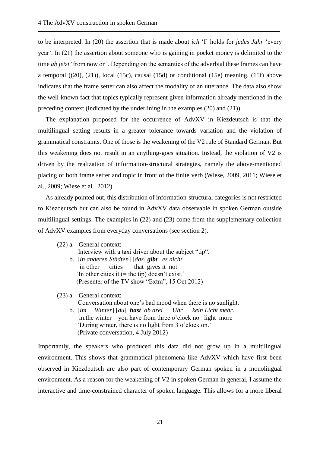to be interpreted. In (20) the assertion that is made about *ich* 'I' holds for *jedes Jahr* 'every year'. In (21) the assertion about someone who is gaining in pocket money is delimited to the time *ab jetzt* 'from now on'. Depending on the semantics of the adverbial these frames can have a temporal ((20), (21)), local (15c), causal (15d) or conditional (15e) meaning. (15f) above indicates that the frame setter can also affect the modality of an utterance. The data also show the well-known fact that topics typically represent given information already mentioned in the preceding context (indicated by the underlining in the examples (20) and (21)).

The explanation proposed for the occurrence of AdvXV in Kiezdeutsch is that the multilingual setting results in a greater tolerance towards variation and the violation of grammatical constraints. One of those is the weakening of the V2 rule of Standard German. But this weakening does not result in an anything-goes situation. Instead, the violation of V2 is driven by the realization of information-structural strategies, namely the above-mentioned placing of both frame setter and topic in front of the finite verb (Wiese, 2009, 2011; Wiese et al., 2009; Wiese et al., 2012).

As already pointed out, this distribution of information-structural categories is not restricted to Kiezdeutsch but can also be found in AdvXV data observable in spoken German outside multilingual settings. The examples in (22) and (23) come from the supplementary collection of AdvXV examples from everyday conversations (see section 2).

|                                                   | $(22)$ a. General context:                            |  |  |  |
|---------------------------------------------------|-------------------------------------------------------|--|--|--|
|                                                   | Interview with a taxi driver about the subject "tip". |  |  |  |
|                                                   | b. [In anderen Städten] [das] <b>gibt</b> es nicht.   |  |  |  |
|                                                   | in other cities that gives it not                     |  |  |  |
| 'In other cities it $(=$ the tip) doesn't exist.' |                                                       |  |  |  |
|                                                   | (Presenter of the TV show "Extra", 15 Oct 2012)       |  |  |  |
|                                                   |                                                       |  |  |  |

# (23) a. General context: Conversation about one's bad mood when there is no sunlight.

(22) b. [*Im Winter*] [*du*] *hast ab drei Uhr kein Licht mehr*. in.the winter vou have from three o'clock no light more (22) b. 'During winter, there is no light from 3 o'clock on.' (Private conversation,  $4$  July 2012)

Importantly, the speakers who produced this data did not grow up in a multilingual environment. This shows that grammatical phenomena like AdvXV which have first been observed in Kiezdeutsch are also part of contemporary German spoken in a monolingual environment. As a reason for the weakening of V2 in spoken German in general, I assume the interactive and time-constrained character of spoken language. This allows for a more liberal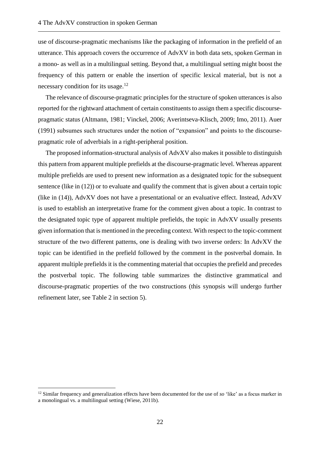use of discourse-pragmatic mechanisms like the packaging of information in the prefield of an utterance. This approach covers the occurrence of AdvXV in both data sets, spoken German in a mono- as well as in a multilingual setting. Beyond that, a multilingual setting might boost the frequency of this pattern or enable the insertion of specific lexical material, but is not a necessary condition for its usage.<sup>12</sup>

The relevance of discourse-pragmatic principles for the structure of spoken utterances is also reported for the rightward attachment of certain constituents to assign them a specific discoursepragmatic status (Altmann, 1981; Vinckel, 2006; Averintseva-Klisch, 2009; Imo, 2011). Auer (1991) subsumes such structures under the notion of "expansion" and points to the discoursepragmatic role of adverbials in a right-peripheral position.

The proposed information-structural analysis of AdvXV also makes it possible to distinguish this pattern from apparent multiple prefields at the discourse-pragmatic level. Whereas apparent multiple prefields are used to present new information as a designated topic for the subsequent sentence (like in (12)) or to evaluate and qualify the comment that is given about a certain topic (like in (14)), AdvXV does not have a presentational or an evaluative effect. Instead, AdvXV is used to establish an interpretative frame for the comment given about a topic. In contrast to the designated topic type of apparent multiple prefields, the topic in AdvXV usually presents given information that is mentioned in the preceding context. With respect to the topic-comment structure of the two different patterns, one is dealing with two inverse orders: In AdvXV the topic can be identified in the prefield followed by the comment in the postverbal domain. In apparent multiple prefields it is the commenting material that occupies the prefield and precedes the postverbal topic. The following table summarizes the distinctive grammatical and discourse-pragmatic properties of the two constructions (this synopsis will undergo further refinement later, see Table 2 in section 5).

1

<sup>12</sup> Similar frequency and generalization effects have been documented for the use of *so* 'like' as a focus marker in a monolingual vs. a multilingual setting (Wiese, 2011b).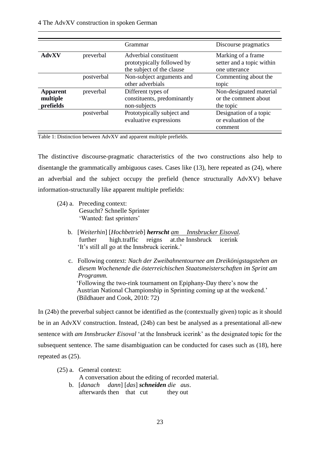|                                          |            | Grammar                                                                          | Discourse pragmatics                                             |
|------------------------------------------|------------|----------------------------------------------------------------------------------|------------------------------------------------------------------|
| <b>AdvXV</b>                             | preverbal  | Adverbial constituent<br>prototypically followed by<br>the subject of the clause | Marking of a frame<br>setter and a topic within<br>one utterance |
|                                          | postverbal | Non-subject arguments and<br>other adverbials                                    | Commenting about the<br>topic                                    |
| <b>Apparent</b><br>multiple<br>prefields | preverbal  | Different types of<br>constituents, predominantly<br>non-subjects                | Non-designated material<br>or the comment about<br>the topic     |
|                                          | postverbal | Prototypically subject and<br>evaluative expressions                             | Designation of a topic<br>or evaluation of the<br>comment        |

<span id="page-26-0"></span>Table 1: Distinction between AdvXV and apparent multiple prefields.

The distinctive discourse-pragmatic characteristics of the two constructions also help to disentangle the grammatically ambiguous cases. Cases like (13), here repeated as (24), where an adverbial and the subject occupy the prefield (hence structurally AdvXV) behave information-structurally like apparent multiple prefields:

- (24) a. Preceding context: Gesucht? Schnelle Sprinter 'Wanted: fast sprinters'
	- (22)b. [*Weiterhin*] [*Hochbetrieb*] *herrscht am Innsbrucker Eisoval.* further high.traffic reigns at.the Innsbruck icerink 'It's still all go at the Innsbruck icerink.'
	- c. Following context: *Nach der Zweibahnentournee am Dreikönigstagstehen an diesem Wochenende die österreichischen Staatsmeisterschaften im Sprint am Programm.* 'Following the two-rink tournament on Epiphany-Day there's now the (22) b. Austrian National Championship in Sprinting coming up at the weekend.' (Bildhauer and Cook, 2010: 72)

In (24b) the preverbal subject cannot be identified as the (contextually given) topic as it should be in an AdvXV construction. Instead, (24b) can best be analysed as a presentational all-new sentence with *am Innsbrucker Eisoval* 'at the Innsbruck icerink' as the designated topic for the subsequent sentence. The same disambiguation can be conducted for cases such as (18), here repeated as (25).

- (25) a. General context: A conversation about the editing of recorded material.
	- (22 b. [*danach dann*] [*das*] *schneiden die aus*. afterwards then that cut they out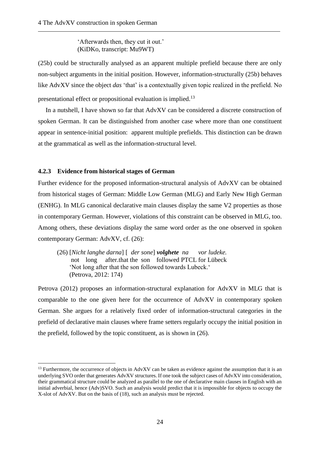'Afterwards then, they cut it out.'  $(KiDKo, transcript: Mu9WT)$ 

(25b) could be structurally analysed as an apparent multiple prefield because there are only non-subject arguments in the initial position. However, information-structurally (25b) behaves like AdvXV since the object *das* 'that' is a contextually given topic realized in the prefield. No presentational effect or propositional evaluation is implied.<sup>13</sup>

In a nutshell, I have shown so far that AdvXV can be considered a discrete construction of spoken German. It can be distinguished from another case where more than one constituent appear in sentence-initial position: apparent multiple prefields. This distinction can be drawn at the grammatical as well as the information-structural level.

# <span id="page-27-0"></span>**4.2.3 Evidence from historical stages of German**

1

Further evidence for the proposed information-structural analysis of AdvXV can be obtained from historical stages of German: Middle Low German (MLG) and Early New High German (ENHG). In MLG canonical declarative main clauses display the same V2 properties as those in contemporary German. However, violations of this constraint can be observed in MLG, too. Among others, these deviations display the same word order as the one observed in spoken contemporary German: AdvXV, cf. (26):

(26) [*Nicht langhe darna*] [ *der sone*] *volghete na vor ludeke.* not long after.that the son followed PTCL for Lübeck 'Not long after that the son followed towards Lubeck.' (22) (Petrova, 2012: 174)

Petrova (2012) proposes an information-structural explanation for AdvXV in MLG that is comparable to the one given here for the occurrence of AdvXV in contemporary spoken German. She argues for a relatively fixed order of information-structural categories in the prefield of declarative main clauses where frame setters regularly occupy the initial position in the prefield, followed by the topic constituent, as is shown in (26).

 $13$  Furthermore, the occurrence of objects in AdvXV can be taken as evidence against the assumption that it is an underlying SVO order that generates AdvXV structures. If one took the subject cases of AdvXV into consideration, their grammatical structure could be analyzed as parallel to the one of declarative main clauses in English with an initial adverbial, hence (Adv)SVO. Such an analysis would predict that it is impossible for objects to occupy the X-slot of AdvXV. But on the basis of (18), such an analysis must be rejected.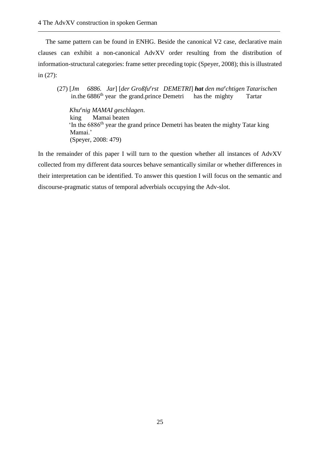The same pattern can be found in ENHG. Beside the canonical V2 case, declarative main clauses can exhibit a non-canonical AdvXV order resulting from the distribution of information-structural categories: frame setter preceding topic (Speyer, 2008); this is illustrated in (27):

(27) [*Jm 6886. Jar*] [*der Großfu<sup>e</sup> rst DEMETRI*] *hat den ma<sup>e</sup> chtigen Tatarischen* in.the  $6886<sup>th</sup>$  year the grand.prince Demetri has the mighty Tartar

(22*) Khu<sup>e</sup> nig MAMAI geschlagen*. king Mamai beaten  $\ln$  the 6886<sup>th</sup> year the grand prince Demetri has beaten the mighty Tatar king Mamai.' (Speyer, 2008: 479)

In the remainder of this paper I will turn to the question whether all instances of AdvXV collected from my different data sources behave semantically similar or whether differences in their interpretation can be identified. To answer this question I will focus on the semantic and discourse-pragmatic status of temporal adverbials occupying the Adv-slot.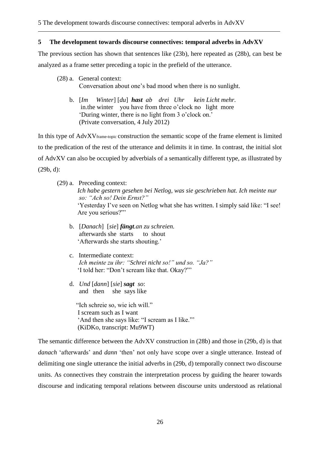### <span id="page-29-0"></span>**5 The development towards discourse connectives: temporal adverbs in AdvXV**

The previous section has shown that sentences like (23b), here repeated as (28b), can best be analyzed as a frame setter preceding a topic in the prefield of the utterance.

- (28) a. General context: Conversation about one's bad mood when there is no sunlight.
	- (22) b. [*Im Winter*] [*du*] *hast ab drei Uhr kein Licht mehr.* in.the winter you have from three o'clock no light more (22) b. 'During winter, there is no light from 3 o'clock on.' (Private conversation,  $4$  July 2012)

In this type of AdvXVframe-topic construction the semantic scope of the frame element is limited to the predication of the rest of the utterance and delimits it in time. In contrast, the initial slot of AdvXV can also be occupied by adverbials of a semantically different type, as illustrated by (29b, d):

- (22 )b. [*Danach*] [*sie*] *fängt.an zu schreien.* afterwards she starts to shout 'Afterwards she starts shouting.'
- (22) c. Intermediate context: (22) b. *Ich meinte zu ihr: "Schrei nicht so!" und so. "Ja?"* 'I told her: "Don't scream like that. Okay?"'
- (22) d. *Und* [*dann*] [*sie*] *sagt so*: and then she says like

"Ich schreie so, wie ich will." I scream such as I want 'And then she says like: "I scream as I like."' (KiDKo, transcript: Mu9WT)

The semantic difference between the AdvXV construction in (28b) and those in (29b, d) is that *danach* 'afterwards' and *dann* 'then' not only have scope over a single utterance. Instead of delimiting one single utterance the initial adverbs in (29b, d) temporally connect two discourse units. As connectives they constrain the interpretation process by guiding the hearer towards discourse and indicating temporal relations between discourse units understood as relational

<sup>(29)</sup> a. Preceding context: (22) b. *Ich habe gestern gesehen bei Netlog, was sie geschrieben hat. Ich meinte nur (22) b. so: "Ach so! Dein Ernst?"* 'Yesterday I've seen on Netlog what she has written. I simply said like: "I see! Are you serious?"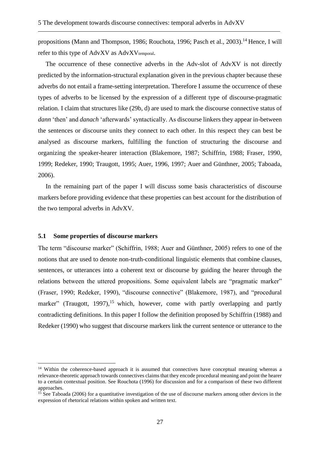propositions (Mann and Thompson, 1986; Rouchota, 1996; Pasch et al., 2003).<sup>14</sup> Hence, I will refer to this type of AdvXV as AdvXV<sub>temporal</sub>.

The occurrence of these connective adverbs in the Adv-slot of AdvXV is not directly predicted by the information-structural explanation given in the previous chapter because these adverbs do not entail a frame-setting interpretation. Therefore I assume the occurrence of these types of adverbs to be licensed by the expression of a different type of discourse-pragmatic relation. I claim that structures like (29b, d) are used to mark the discourse connective status of *dann* 'then' and *danach* 'afterwards' syntactically. As discourse linkers they appear in-between the sentences or discourse units they connect to each other. In this respect they can best be analysed as discourse markers, fulfilling the function of structuring the discourse and organizing the speaker-hearer interaction (Blakemore, 1987; Schiffrin, 1988; Fraser, 1990, 1999; Redeker, 1990; Traugott, 1995; Auer, 1996, 1997; Auer and Günthner, 2005; Taboada, 2006).

In the remaining part of the paper I will discuss some basis characteristics of discourse markers before providing evidence that these properties can best account for the distribution of the two temporal adverbs in AdvXV.

#### <span id="page-30-0"></span>**5.1 Some properties of discourse markers**

1

The term "discourse marker" (Schiffrin, 1988; Auer and Günthner, 2005) refers to one of the notions that are used to denote non-truth-conditional linguistic elements that combine clauses, sentences, or utterances into a coherent text or discourse by guiding the hearer through the relations between the uttered propositions. Some equivalent labels are "pragmatic marker" (Fraser, 1990; Redeker, 1990), "discourse connective" (Blakemore, 1987), and "procedural marker" (Traugott, 1997),<sup>15</sup> which, however, come with partly overlapping and partly contradicting definitions. In this paper I follow the definition proposed by Schiffrin (1988) and Redeker (1990) who suggest that discourse markers link the current sentence or utterance to the

<sup>&</sup>lt;sup>14</sup> Within the coherence-based approach it is assumed that connectives have conceptual meaning whereas a relevance-theoretic approach towards connectives claims that they encode procedural meaning and point the hearer to a certain contextual position. See Rouchota (1996) for discussion and for a comparison of these two different approaches.

 $15$  See Taboada (2006) for a quantitative investigation of the use of discourse markers among other devices in the expression of rhetorical relations within spoken and written text.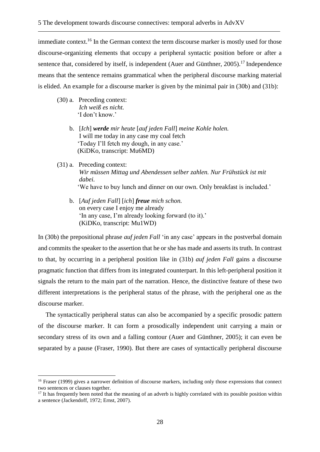immediate context.<sup>16</sup> In the German context the term discourse marker is mostly used for those discourse-organizing elements that occupy a peripheral syntactic position before or after a sentence that, considered by itself, is independent (Auer and Günthner, 2005).<sup>17</sup> Independence means that the sentence remains grammatical when the peripheral discourse marking material is elided. An example for a discourse marker is given by the minimal pair in (30b) and (31b):

(30) a. Preceding context:  $I$ *ch* weiß es nicht. 'I don't know.'

<u>.</u>

- (22) b. [*Ich*] *werde mir heute* [*auf jeden Fall*] *meine Kohle holen.* I will me today in any case my coal fetch 'Today I'll fetch my dough, in any case.' (KiDKo, transcript: Mu6MD)
- (31) a. Preceding context: (22) b. *Wir müssen Mittag und Abendessen selber zahlen. Nur Frühstück ist mit (22) b. dabei.* 'We have to buy lunch and dinner on our own. Only breakfast is included.'
	- (22) b. [*Auf jeden Fall*] [*ich*] *freue mich schon.* on every case I enjoy me already 'In any case, I'm already looking forward (to it).'  $(KiDKo. transcript: MulWD)$

In (30b) the prepositional phrase *auf jeden Fall* 'in any case' appears in the postverbal domain and commits the speaker to the assertion that he or she has made and asserts its truth. In contrast to that, by occurring in a peripheral position like in (31b) *auf jeden Fall* gains a discourse pragmatic function that differs from its integrated counterpart. In this left-peripheral position it signals the return to the main part of the narration. Hence, the distinctive feature of these two different interpretations is the peripheral status of the phrase, with the peripheral one as the discourse marker.

The syntactically peripheral status can also be accompanied by a specific prosodic pattern of the discourse marker. It can form a prosodically independent unit carrying a main or secondary stress of its own and a falling contour (Auer and Günthner, 2005); it can even be separated by a pause (Fraser, 1990). But there are cases of syntactically peripheral discourse

<sup>&</sup>lt;sup>16</sup> Fraser (1999) gives a narrower definition of discourse markers, including only those expressions that connect two sentences or clauses together.

<sup>&</sup>lt;sup>17</sup> It has frequently been noted that the meaning of an adverb is highly correlated with its possible position within a sentence (Jackendoff, 1972; Ernst, 2007).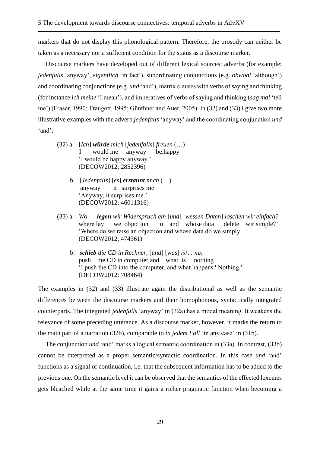markers that do not display this phonological pattern. Therefore, the prosody can neither be taken as a necessary nor a sufficient condition for the status as a discourse marker.

Discourse markers have developed out of different lexical sources: adverbs (for example: *jedenfalls* 'anyway', *eigentlich* 'in fact'), subordinating conjunctions (e.g. *obwohl* 'although') and coordinating conjunctions (e.g. *und* 'and'), matrix clauses with verbs of saying and thinking (for instance *ich meine* 'I mean'), and imperatives of verbs of saying and thinking (*sag mal* 'tell me') (Fraser, 1990; Traugott, 1995; Günthner and Auer, 2005). In (32) and (33) I give two more illustrative examples with the adverb *jedenfalls* 'anyway' and the coordinating conjunction *und*  'and':

- (32) a. [*Ich*] *würde mich* [*jedenfalls*] *freuen* (…) I would me anyway be.happy 'I would be happy anyway.' (DECOW2012: 2852396)
	- b. [*Jedenfalls*] [*es*] *erstaunt m*i*ch* (…) anyway it surprises me 'Anyway, it surprises me.' (DECOW2012: 46011316)
- (33) a. *Wo legen wir Widerspruch ein* [*und*] [*wessen Daten*] *löschen wir einfach?* where lay we objection in and whose data delete wir simple?' 'Where do we raise an objection and whose data do we simply (DECOW2012: 474361)
	- b. *schieb die CD in Rechner*, [*und*] [*was*] *ist… nix* push the CD in computer and what is nothing 'I push the CD into the computer, and what happens? Nothing.' (DECOW2012: 708464)

The examples in (32) and (33) illustrate again the distributional as well as the semantic differences between the discourse markers and their homophonous, syntactically integrated counterparts. The integrated *jedenfalls* 'anyway' in (32a) has a modal meaning. It weakens the relevance of some preceding utterance. As a discourse marker, however, it marks the return to the main part of a narration (32b), comparable to *in jedem Fall* 'in any case' in (31b).

The conjunction *und* 'and' marks a logical semantic coordination in (33a). In contrast, (33b) cannot be interpreted as a proper semantic/syntactic coordination. In this case *und* 'and' functions as a signal of continuation, i.e. that the subsequent information has to be added to the previous one. On the semantic level it can be observed that the semantics of the effected lexemes gets bleached while at the same time it gains a richer pragmatic function when becoming a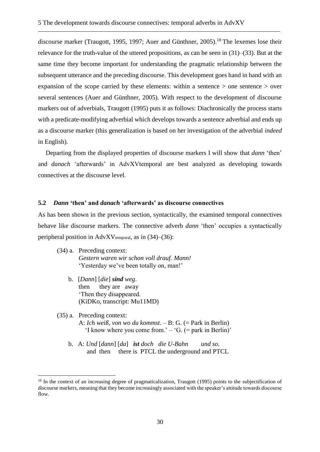discourse marker (Traugott, 1995, 1997; Auer and Günthner, 2005).<sup>18</sup> The lexemes lose their relevance for the truth-value of the uttered propositions, as can be seen in (31)–(33). But at the same time they become important for understanding the pragmatic relationship between the subsequent utterance and the preceding discourse. This development goes hand in hand with an expansion of the scope carried by these elements: within a sentence > one sentence > over several sentences (Auer and Günthner, 2005). With respect to the development of discourse markers out of adverbials, Traugott (1995) puts it as follows: Diachronically the process starts with a predicate-modifying adverbial which develops towards a sentence adverbial and ends up as a discourse marker (this generalization is based on her investigation of the adverbial *indeed* in English).

Departing from the displayed properties of discourse markers I will show that *dann* 'then' and *danach* 'afterwards' in AdvXVtemporal are best analyzed as developing towards connectives at the discourse level.

#### <span id="page-33-0"></span>**5.2** *Dann* **'then' and** *danach* **'afterwards' as discourse connectives**

As has been shown in the previous section, syntactically, the examined temporal connectives behave like discourse markers. The connective adverb *dann* 'then' occupies a syntactically peripheral position in AdvXV $t_{temporal}$ , as in (34)–(36):

- (34) a. Preceding context: Gestern waren wir schon voll drauf. Mann! 'Yesterday we've been totally on, man!'
	- b. [*Dann*] [*die*] *sind weg*. then they are away Then they disappeared.  $(KiDKo, transcript: Mul1IMD)$

<u>.</u>

- (35) a. Preceding context: (32) a. A: *Ich weiß, von wo du kommst*. – B: G. (= Park in Berlin) 'I know where you come from.'  $-$  'G. (= park in Berlin)'
	- b. A: *Und* [*dann*] [*da*] *ist doch die U-Bahn und so.* and then there is PTCL the underground and PTCL

<sup>&</sup>lt;sup>18</sup> In the context of an increasing degree of pragmaticalization, Traugott (1995) points to the subjectification of discourse markers, meaning that they become increasingly associated with the speaker's attitude towards discourse flow.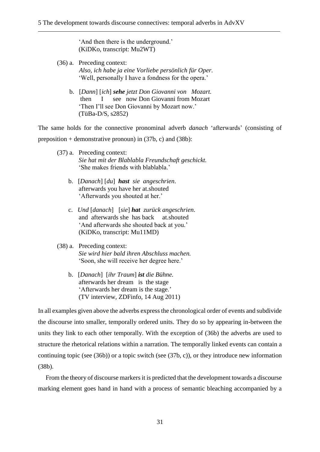'And then there is the underground.'  $(KiDKo, transcript: Mu2WT)$ 

- (36) a. Preceding context: (32) *a. Also, ich habe ja eine Vorliebe persönlich für Oper.* 'Well, personally I have a fondness for the opera.'
	- (32) b. [*Dann*] [*ich*] *sehe jetzt Don Giovanni von Mozart.* (32) a. then I see now Don Giovanni from Mozart 'Then I'll see Don Giovanni by Mozart now.' (TüBa-D/S, s2852)

The same holds for the connective pronominal adverb *danach* 'afterwards' (consisting of preposition + demonstrative pronoun) in  $(37b, c)$  and  $(38b)$ :

- (37) a. Preceding context: Sie hat mit der Blablabla Freundschaft geschickt. 'She makes friends with blablabla.'
	- b. [*Danach*] [*du*] *hast sie angeschrien*. afterwards you have her at.shouted 'Afterwards you shouted at her.'
	- c. *Und* [*danach*] [*sie*] *hat zurück angeschrien*. and afterwards she has back at.shouted 'And afterwards she shouted back at you.' (KiDKo, transcript: Mu11MD)
- (38) a. Preceding context: Sie wird hier bald ihren Abschluss machen. 'Soon, she will receive her degree here.'
	- b. [*Danach*] [*ihr Traum*] *ist die Bühne.* afterwards her dream is the stage 'Afterwards her dream is the stage.'  $(TV$  interview, ZDFinfo, 14 Aug 2011)

In all examples given above the adverbs express the chronological order of events and subdivide the discourse into smaller, temporally ordered units. They do so by appearing in-between the units they link to each other temporally. With the exception of (36b) the adverbs are used to structure the rhetorical relations within a narration. The temporally linked events can contain a continuing topic (see (36b)) or a topic switch (see (37b, c)), or they introduce new information (38b).

From the theory of discourse markers it is predicted that the development towards a discourse marking element goes hand in hand with a process of semantic bleaching accompanied by a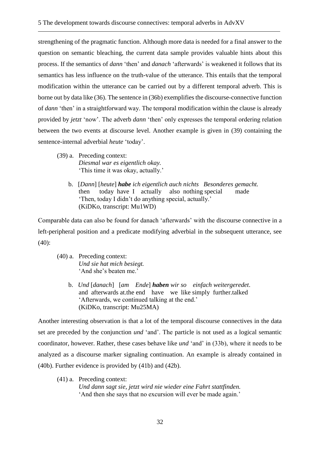strengthening of the pragmatic function. Although more data is needed for a final answer to the question on semantic bleaching, the current data sample provides valuable hints about this process. If the semantics of *dann* 'then' and *danach* 'afterwards' is weakened it follows that its semantics has less influence on the truth-value of the utterance. This entails that the temporal modification within the utterance can be carried out by a different temporal adverb. This is borne out by data like (36). The sentence in (36b) exemplifies the discourse-connective function of *dann* 'then' in a straightforward way. The temporal modification within the clause is already provided by *jetzt* 'now'. The adverb *dann* 'then' only expresses the temporal ordering relation between the two events at discourse level. Another example is given in (39) containing the sentence-internal adverbial *heute* 'today'.

- (39) a. Preceding context: (32) a. *Diesmal war es eigentlich okay.* 'This time it was okay, actually.'
	- b. [*Dann*] [*heute*] *habe ich eigentlich auch nichts Besonderes gemacht.* then today have I actually also nothing special made 'Then, today I didn't do anything special, actually.' (KiDKo, transcript: Mu1WD)

Comparable data can also be found for danach 'afterwards' with the discourse connective in a left-peripheral position and a predicate modifying adverbial in the subsequent utterance, see (40):

- (40) a. Preceding context: Und sie hat mich besiegt. 'And she's beaten me.'
	- b. *Und* [*danach*] [*am Ende*] *haben wir so einfach weitergeredet*. and afterwards at.the end have we like simply further.talked 'Afterwards, we continued talking at the end.' (KiDKo, transcript: Mu25MA)

Another interesting observation is that a lot of the temporal discourse connectives in the data set are preceded by the conjunction *und* 'and'. The particle is not used as a logical semantic coordinator, however. Rather, these cases behave like *und* 'and' in (33b), where it needs to be analyzed as a discourse marker signaling continuation. An example is already contained in (40b). Further evidence is provided by (41b) and (42b).

(41) a. Preceding context: (32) a*. Und dann sagt sie, jetzt wird nie wieder eine Fahrt stattfinden.* And then she says that no excursion will ever be made again.'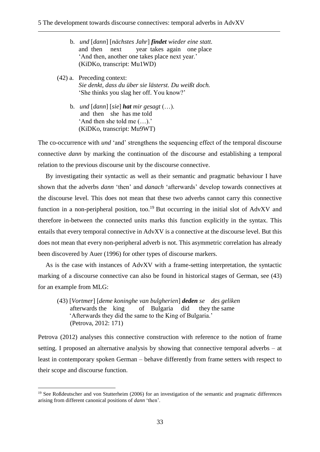- b. *und* [*dann*] [*nächstes Jahr*] *findet wieder eine statt.* and then next year takes again one place 'And then, another one takes place next year.' (KiDKo, transcript: Mu1WD)
- (42) a. Preceding context: Sie denkt, dass du über sie lästerst. Du weißt doch. 'She thinks you slag her off. You know?'
	- b. *und* [*dann*] [*sie*] *hat mir gesagt* (…). and then she has me told 'And then she told me  $(...)$ .' (KiDKo, transcript: Mu9WT)

The co-occurrence with *und* 'and' strengthens the sequencing effect of the temporal discourse connective *dann* by marking the continuation of the discourse and establishing a temporal relation to the previous discourse unit by the discourse connective.

By investigating their syntactic as well as their semantic and pragmatic behaviour I have shown that the adverbs *dann* 'then' and *danach* 'afterwards' develop towards connectives at the discourse level. This does not mean that these two adverbs cannot carry this connective function in a non-peripheral position, too.<sup>19</sup> But occurring in the initial slot of AdvXV and therefore in-between the connected units marks this function explicitly in the syntax. This entails that every temporal connective in AdvXV is a connective at the discourse level. But this does not mean that every non-peripheral adverb is not. This asymmetric correlation has already been discovered by Auer (1996) for other types of discourse markers.

As is the case with instances of AdvXV with a frame-setting interpretation, the syntactic marking of a discourse connective can also be found in historical stages of German, see (43) for an example from MLG:

(43) [*Vortmer*] [*deme koninghe van bulgherien*] *deden se des geliken2)* afterwards the king of Bulgaria did they the same 'Afterwards they did the same to the King of Bulgaria.' (Petrova, 2012: 171)

Petrova (2012) analyses this connective construction with reference to the notion of frame setting. I proposed an alternative analysis by showing that connective temporal adverbs – at least in contemporary spoken German – behave differently from frame setters with respect to their scope and discourse function.

1

<sup>&</sup>lt;sup>19</sup> See Roßdeutscher and von Stutterheim (2006) for an investigation of the semantic and pragmatic differences arising from different canonical positions of *dann* 'then'.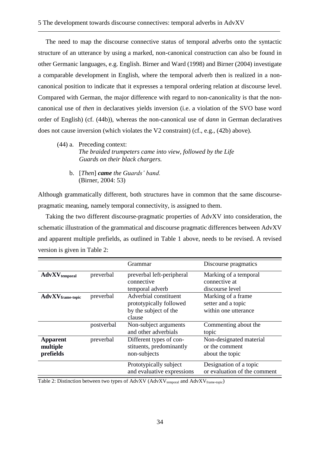The need to map the discourse connective status of temporal adverbs onto the syntactic structure of an utterance by using a marked, non-canonical construction can also be found in other Germanic languages, e.g. English. Birner and Ward (1998) and Birner (2004) investigate a comparable development in English, where the temporal adverb then is realized in a noncanonical position to indicate that it expresses a temporal ordering relation at discourse level. Compared with German, the major difference with regard to non-canonicality is that the noncanonical use of *then* in declaratives yields inversion (i.e. a violation of the SVO base word order of English) (cf. (44b)), whereas the non-canonical use of *dann* in German declaratives does not cause inversion (which violates the V2 constraint) (cf., e.g., (42b) above).

- (44) a. Preceding context: The braided trumpeters came into view, followed by the Life *(32) a. Guards on their black chargers.*
	- (32) b. [*Then*] *came the Guards' band.* (Birner, 2004: 53)

Although grammatically different, both structures have in common that the same discoursepragmatic meaning, namely temporal connectivity, is assigned to them.

Taking the two different discourse-pragmatic properties of AdvXV into consideration, the schematic illustration of the grammatical and discourse pragmatic differences between AdvXV and apparent multiple prefields, as outlined in Table 1 above, needs to be revised. A revised version is given in Table 2:

|                                          |            | Grammar                                                                             | Discourse pragmatics                                              |
|------------------------------------------|------------|-------------------------------------------------------------------------------------|-------------------------------------------------------------------|
| <b>AdvXV</b> <sub>temporal</sub>         | preverbal  | preverbal left-peripheral<br>connective<br>temporal adverb                          | Marking of a temporal<br>connective at<br>discourse level         |
| AdvXV <sub>frame-topic</sub>             | preverbal  | Adverbial constituent<br>prototypically followed<br>by the subject of the<br>clause | Marking of a frame.<br>setter and a topic<br>within one utterance |
|                                          | postverbal | Non-subject arguments<br>and other adverbials                                       | Commenting about the<br>topic                                     |
| <b>Apparent</b><br>multiple<br>prefields | preverbal  | Different types of con-<br>stituents, predominantly<br>non-subjects                 | Non-designated material<br>or the comment<br>about the topic      |
|                                          |            | Prototypically subject<br>and evaluative expressions                                | Designation of a topic<br>or evaluation of the comment            |

<span id="page-37-0"></span>Table 2: Distinction between two types of  $\text{Adv}XV$  ( $\text{Adv}XV_{\text{temporal}}$  and  $\text{Adv}XV_{\text{frame-topic}}$ )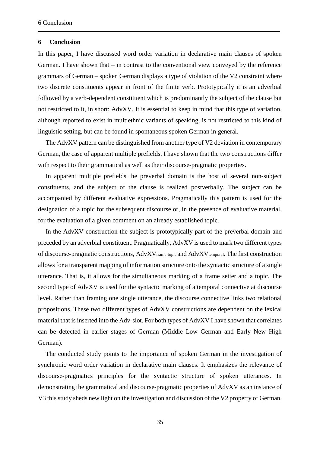#### <span id="page-38-0"></span>**6 Conclusion**

In this paper, I have discussed word order variation in declarative main clauses of spoken German. I have shown that – in contrast to the conventional view conveyed by the reference grammars of German – spoken German displays a type of violation of the V2 constraint where two discrete constituents appear in front of the finite verb. Prototypically it is an adverbial followed by a verb-dependent constituent which is predominantly the subject of the clause but not restricted to it, in short: AdvXV. It is essential to keep in mind that this type of variation, although reported to exist in multiethnic variants of speaking, is not restricted to this kind of linguistic setting, but can be found in spontaneous spoken German in general.

The AdvXV pattern can be distinguished from another type of V2 deviation in contemporary German, the case of apparent multiple prefields. I have shown that the two constructions differ with respect to their grammatical as well as their discourse-pragmatic properties.

In apparent multiple prefields the preverbal domain is the host of several non-subject constituents, and the subject of the clause is realized postverbally. The subject can be accompanied by different evaluative expressions. Pragmatically this pattern is used for the designation of a topic for the subsequent discourse or, in the presence of evaluative material, for the evaluation of a given comment on an already established topic.

In the AdvXV construction the subject is prototypically part of the preverbal domain and preceded by an adverbial constituent. Pragmatically, AdvXV is used to mark two different types of discourse-pragmatic constructions, AdvXV<sub>frame-topic</sub> and AdvXV<sub>temporal</sub>. The first construction allows for a transparent mapping of information structure onto the syntactic structure of a single utterance. That is, it allows for the simultaneous marking of a frame setter and a topic. The second type of AdvXV is used for the syntactic marking of a temporal connective at discourse level. Rather than framing one single utterance, the discourse connective links two relational propositions. These two different types of AdvXV constructions are dependent on the lexical material that is inserted into the Adv-slot. For both types of AdvXV I have shown that correlates can be detected in earlier stages of German (Middle Low German and Early New High German).

The conducted study points to the importance of spoken German in the investigation of synchronic word order variation in declarative main clauses. It emphasizes the relevance of discourse-pragmatics principles for the syntactic structure of spoken utterances. In demonstrating the grammatical and discourse-pragmatic properties of AdvXV as an instance of V3 this study sheds new light on the investigation and discussion of the V2 property of German.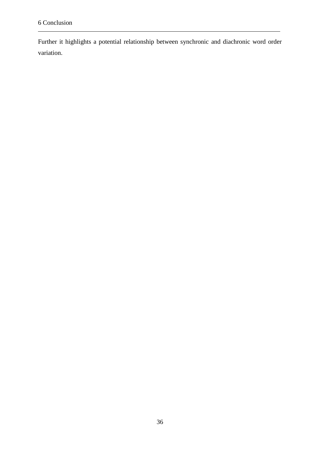Further it highlights a potential relationship between synchronic and diachronic word order variation.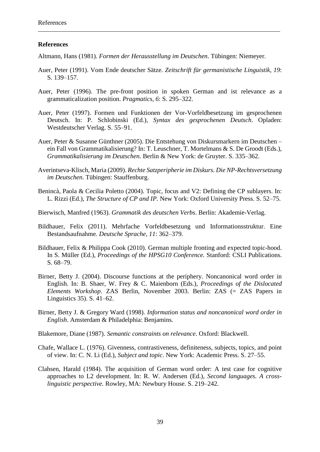#### <span id="page-40-0"></span>**References**

Altmann, Hans (1981). *Formen der Herausstellung im Deutschen*. Tübingen: Niemeyer.

- Auer, Peter (1991). Vom Ende deutscher Sätze. *Zeitschrift für germanistische Linguistik, 19*: S. 139–157.
- Auer, Peter (1996). The pre-front position in spoken German and ist relevance as a grammaticalization position. *Pragmatics, 6*: S. 295–322.
- Auer, Peter (1997). Formen und Funktionen der Vor-Vorfeldbesetzung im gesprochenen Deutsch. In: P. Schlobinski (Ed.), *Syntax des gesprochenen Deutsch*. Opladen: Westdeutscher Verlag. S. 55–91.
- Auer, Peter & Susanne Günthner (2005). Die Entstehung von Diskursmarkern im Deutschen ein Fall von Grammatikalisierung? In: T. Leuschner, T. Mortelmans & S. De Groodt (Eds.), *Grammatikalisierung im Deutschen*. Berlin & New York: de Gruyter. S. 335–362.
- Averintseva-Klisch, Maria (2009). *Rechte Satzperipherie im Diskurs. Die NP-Rechtsversetzung im Deutschen*. Tübingen: Stauffenburg.
- Benincà, Paola & Cecilia Poletto (2004). Topic, focus and V2: Defining the CP sublayers. In: L. Rizzi (Ed.), *The Structure of CP and IP.* New York: Oxford University Press. S. 52–75.
- Bierwisch, Manfred (1963). *Grammatik des deutschen Verbs*. Berlin: Akademie-Verlag.
- Bildhauer, Felix (2011). Mehrfache Vorfeldbesetzung und Informationsstruktur. Eine Bestandsaufnahme*. Deutsche Sprache, 11*: 362–379.
- Bildhauer, Felix & Philippa Cook (2010). German multiple fronting and expected topic-hood. In S. Müller (Ed.), *Proceedings of the HPSG10 Conference.* Stanford: CSLI Publications. S. 68–79.
- Birner, Betty J. (2004). Discourse functions at the periphery. Noncanonical word order in English. In: B. Shaer, W. Frey & C. Maienborn (Eds.), *Proceedings of the Dislocated Elements Workshop*. ZAS Berlin, November 2003. Berlin: ZAS (= ZAS Papers in Linguistics 35). S. 41–62.
- Birner, Betty J. & Gregory Ward (1998). *Information status and noncanonical word order in English*. Amsterdam & Philadelphia: Benjamins.
- Blakemore, Diane (1987). *Semantic constraints on relevance*. Oxford: Blackwell.
- Chafe, Wallace L. (1976). Givenness, contrastiveness, definiteness, subjects, topics, and point of view. In: C. N. Li (Ed.), *Subject and topic*. New York: Academic Press. S. 27–55.
- Clahsen, Harald (1984). The acquisition of German word order: A test case for cognitive approaches to L2 development. In: R. W. Andersen (Ed.), *Second languages. A crosslinguistic perspective.* Rowley, MA: Newbury House. S. 219–242.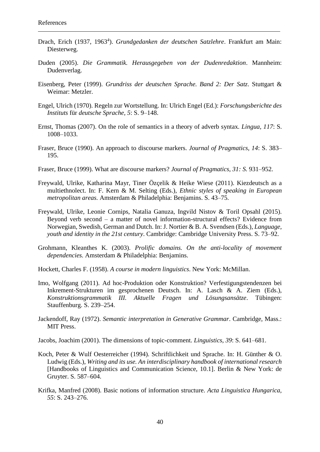- Drach, Erich (1937, 1963<sup>4</sup>). *Grundgedanken der deutschen Satzlehre*. Frankfurt am Main: Diesterweg.
- Duden (2005). *Die Grammatik. Herausgegeben von der Dudenredaktion*. Mannheim: Dudenverlag.
- Eisenberg, Peter (1999). *Grundriss der deutschen Sprache. Band 2: Der Satz*. Stuttgart & Weimar: Metzler.
- Engel, Ulrich (1970). Regeln zur Wortstellung. In: Ulrich Engel (Ed.): *Forschungsberichte des Instituts* für *deutsche Sprache, 5*: S. 9–148.
- Ernst, Thomas (2007). On the role of semantics in a theory of adverb syntax*. Lingua, 117*: S. 1008–1033.
- Fraser, Bruce (1990). An approach to discourse markers. *Journal of Pragmatics, 14*: S. 383– 195.
- Fraser, Bruce (1999). What are discourse markers? *Journal of Pragmatics, 31: S.* 931–952.
- Freywald, Ulrike, Katharina Mayr, Tiner Özçelik & Heike Wiese (2011). Kiezdeutsch as a multiethnolect. In: F. Kern & M. Selting (Eds.), *Ethnic styles of speaking in European metropolitan areas.* Amsterdam & Philadelphia: Benjamins. S. 43–75.
- Freywald, Ulrike, Leonie Cornips, Natalia Ganuza, Ingvild Nistov & Toril Opsahl (2015). Beyond verb second – a matter of novel information-structural effects? Evidence from Norwegian, Swedish, German and Dutch. In: J. Nortier & B. A. Svendsen (Eds.), *Language, youth and identity in the 21st century*. Cambridge: Cambridge University Press. S. 73–92.
- Grohmann, Kleanthes K. (2003). *Prolific domains. On the anti-locality of movement dependencies.* Amsterdam & Philadelphia: Benjamins.
- Hockett, Charles F. (1958). *A course in modern linguistics*. New York: McMillan.
- Imo, Wolfgang (2011). Ad hoc-Produktion oder Konstruktion? Verfestigungstendenzen bei Inkrement-Strukturen im gesprochenen Deutsch. In: A. Lasch & A. Ziem (Eds.), *Konstruktionsgrammatik III. Aktuelle Fragen und Lösungsansätze*. Tübingen: Stauffenburg. S. 239–254.
- Jackendoff, Ray (1972). *Semantic interpretation in Generative Grammar*. Cambridge, Mass.: MIT Press.
- Jacobs, Joachim (2001). The dimensions of topic-comment. *Linguistics, 39*: S. 641–681.
- Koch, Peter & Wulf Oesterreicher (1994). Schriftlichkeit und Sprache. In: H. Günther & O. Ludwig (Eds.), *Writing and its use. An interdisciplinary handbook of international research* [Handbooks of Linguistics and Communication Science, 10.1]. Berlin & New York: de Gruyter. S. 587–604.
- Krifka, Manfred (2008). Basic notions of information structure. *Acta Linguistica Hungarica, 55*: S. 243–276.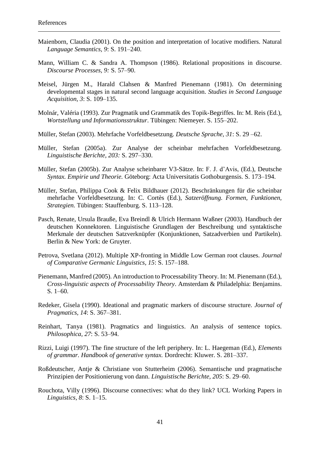- Maienborn, Claudia (2001). On the position and interpretation of locative modifiers. Natural *Language Semantics, 9*: S. 191–240.
- Mann, William C. & Sandra A. Thompson (1986). Relational propositions in discourse. *Discourse Processes, 9:* S. 57–90.
- Meisel, Jürgen M., Harald Clahsen & Manfred Pienemann (1981). On determining developmental stages in natural second language acquisition. *Studies in Second Language Acquisition, 3*: S. 109–135.
- Molnár, Valéria (1993). Zur Pragmatik und Grammatik des Topik-Begriffes. In: M. Reis (Ed.), *Wortstellung und Informationsstruktur*. Tübingen: Niemeyer. S. 155–202.
- Müller, Stefan (2003). Mehrfache Vorfeldbesetzung. *Deutsche Sprache, 31*: S. 29 –62.
- Müller, Stefan (2005a). Zur Analyse der scheinbar mehrfachen Vorfeldbesetzung. *Linguistische Berichte, 203:* S. 297–330.
- Müller, Stefan (2005b). Zur Analyse scheinbarer V3-Sätze. In: F. J. d'Avis, (Ed.), Deutsche *Syntax. Empirie und Theorie.* Göteborg: Acta Universitatis Gothoburgensis. S. 173–194.
- Müller, Stefan, Philippa Cook & Felix Bildhauer (2012). Beschränkungen für die scheinbar mehrfache Vorfeldbesetzung. In: C. Cortès (Ed.), *Satzeröffnung. Formen, Funktionen, Strategien.* Tübingen: Stauffenburg. S. 113–128.
- Pasch, Renate, Ursula Brauße, Eva Breindl & Ulrich Hermann Waßner (2003). Handbuch der deutschen Konnektoren. Linguistische Grundlagen der Beschreibung und syntaktische Merkmale der deutschen Satzverknüpfer (Konjunktionen, Satzadverbien und Partikeln). Berlin & New York: de Gruyter.
- Petrova, Svetlana (2012). Multiple XP-fronting in Middle Low German root clauses. *Journal of Comparative Germanic Linguistics, 15*: S. 157–188.
- Pienemann, Manfred (2005). An introduction to Processability Theory. In: M. Pienemann (Ed.), *Cross-linguistic aspects of Processability Theory*. Amsterdam & Philadelphia: Benjamins. S. 1–60.
- Redeker, Gisela (1990). Ideational and pragmatic markers of discourse structure. *Journal of Pragmatics, 14*: S. 367–381.
- Reinhart, Tanya (1981). Pragmatics and linguistics. An analysis of sentence topics. *Philosophica, 27*: S. 53–94.
- Rizzi, Luigi (1997). The fine structure of the left periphery. In: L. Haegeman (Ed.), *Elements of grammar. Handbook of generative syntax.* Dordrecht: Kluwer. S. 281–337.
- Roßdeutscher, Antje & Christiane von Stutterheim (2006). Semantische und pragmatische Prinzipien der Positionierung von dann. *Linguistische Berichte, 205*: S. 29–60.
- Rouchota, Villy (1996). Discourse connectives: what do they link? UCL Working Papers in *Linguistics, 8*: S. 1–15.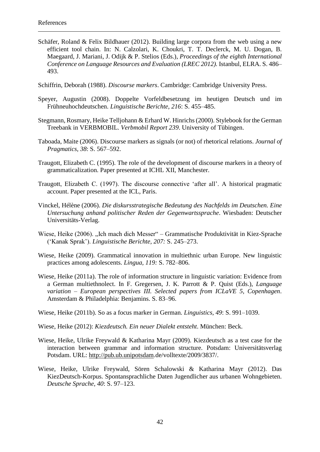- Schäfer, Roland & Felix Bildhauer (2012). Building large corpora from the web using a new efficient tool chain. In: N. Calzolari, K. Choukri, T. T. Declerck, M. U. Dogan, B. Maegaard, J. Mariani, J. Odijk & P. Stelios (Eds.), *Proceedings of the eighth International Conference on Language Resources and Evaluation (LREC 2012).* Istanbul, ELRA. S. 486– 493.
- Schiffrin, Deborah (1988). *Discourse markers*. Cambridge: Cambridge University Press.
- Speyer, Augustin (2008). Doppelte Vorfeldbesetzung im heutigen Deutsch und im Frühneuhochdeutschen. *Linguistische Berichte, 216*: S. 455–485.
- Stegmann, Rosmary, Heike Telljohann & Erhard W. Hinrichs (2000). Stylebook for the German Treebank in VERBMOBIL. *Verbmobil Report 239*. University of Tübingen.
- Taboada, Maite (2006). Discourse markers as signals (or not) of rhetorical relations. *Journal of Pragmatics, 38*: S. 567–592.
- Traugott, Elizabeth C. (1995). The role of the development of discourse markers in a theory of grammaticalization. Paper presented at ICHL XII, Manchester.
- Traugott, Elizabeth C. (1997). The discourse connective 'after all'. A historical pragmatic account. Paper presented at the ICL, Paris.
- Vinckel, Hélène (2006). *Die diskursstrategische Bedeutung des Nachfelds im Deutschen. Eine Untersuchung anhand politischer Reden der Gegenwartssprache*. Wiesbaden: Deutscher Universitäts-Verlag.
- Wiese, Heike (2006). "Ich mach dich Messer" Grammatische Produktivität in Kiez-Sprache ('Kanak Sprak'). *Linguistische Berichte, 207:* S. 245–273.
- Wiese, Heike (2009). Grammatical innovation in multiethnic urban Europe. New linguistic practices among adolescents. *Lingua, 119:* S. 782–806.
- Wiese, Heike (2011a). The role of information structure in linguistic variation: Evidence from a German multiethnolect. In F. Gregersen, J. K. Parrott & P. Quist (Eds.), *Language variation – European perspectives III. Selected papers from ICLaVE 5, Copenhagen*. Amsterdam & Philadelphia: Benjamins. S. 83–96.
- Wiese, Heike (2011b). So as a focus marker in German. *Linguistics, 49*: S. 991–1039.
- Wiese, Heike (2012): *Kiezdeutsch. Ein neuer Dialekt entsteht*. München: Beck.
- Wiese, Heike, Ulrike Freywald & Katharina Mayr (2009). Kiezdeutsch as a test case for the interaction between grammar and information structure. Potsdam: Universitätsverlag Potsdam. URL: [http://pub.ub.unipotsdam.](http://pub.ub.unipotsdam/)de/volltexte/2009/3837/.
- Wiese, Heike, Ulrike Freywald, Sören Schalowski & Katharina Mayr (2012). Das KiezDeutsch-Korpus. Spontansprachliche Daten Jugendlicher aus urbanen Wohngebieten. *Deutsche Sprache, 40*: S. 97–123.